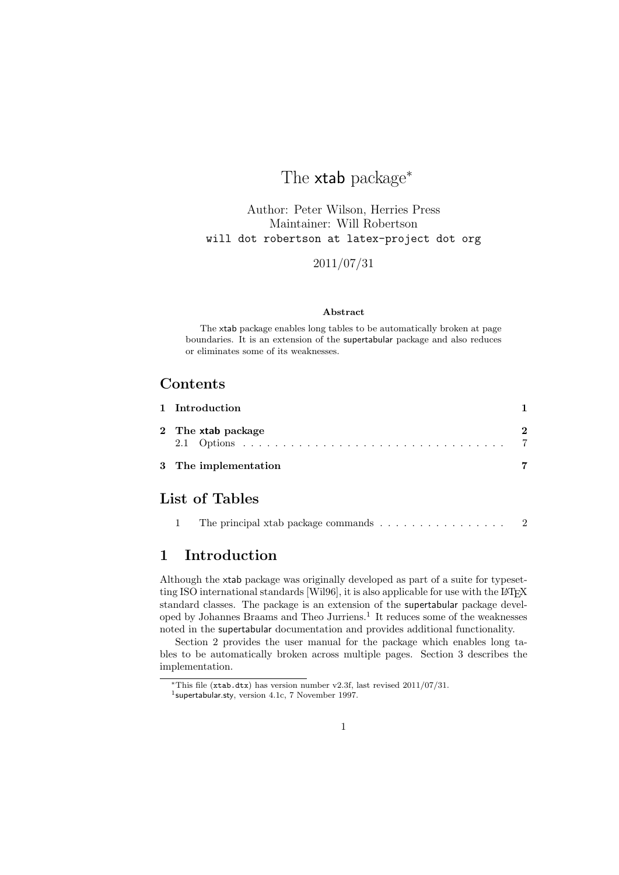# The xtab package<sup>\*</sup>

Author: Peter Wilson, Herries Press Maintainer: Will Robertson will dot robertson at latex-project dot org

2011/07/31

#### Abstract

The xtab package enables long tables to be automatically broken at page boundaries. It is an extension of the supertabular package and also reduces or eliminates some of its weaknesses.

## Contents

| 1 Introduction       |  |
|----------------------|--|
| 2 The xtab package   |  |
| 3 The implementation |  |

## List of Tables

|  |  |  | The principal xtab package commands $\ldots \ldots \ldots \ldots \ldots$ |  |  |  |  |  |  |  |  |  |  |  |  |  |
|--|--|--|--------------------------------------------------------------------------|--|--|--|--|--|--|--|--|--|--|--|--|--|
|--|--|--|--------------------------------------------------------------------------|--|--|--|--|--|--|--|--|--|--|--|--|--|

## 1 Introduction

Although the xtab package was originally developed as part of a suite for typesetting ISO international standards [Wil96], it is also applicable for use with the L<sup>A</sup>T<sub>E</sub>X standard classes. The package is an extension of the supertabular package developed by Johannes Braams and Theo Jurriens.<sup>1</sup> It reduces some of the weaknesses noted in the supertabular documentation and provides additional functionality.

Section 2 provides the user manual for the package which enables long tables to be automatically broken across multiple pages. Section 3 describes the implementation.

<sup>∗</sup>This file (xtab.dtx) has version number v2.3f, last revised 2011/07/31.

<sup>&</sup>lt;sup>1</sup>supertabular.sty, version 4.1c, 7 November 1997.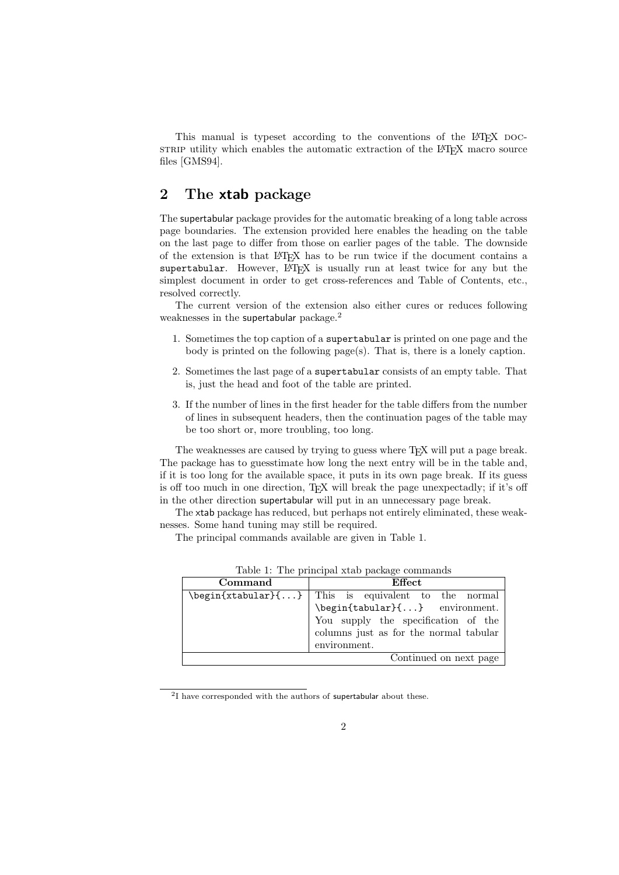This manual is typeset according to the conventions of the LATEX DOCsTRIP utility which enables the automatic extraction of the LAT<sub>E</sub>X macro source files [GMS94].

## 2 The xtab package

The supertabular package provides for the automatic breaking of a long table across page boundaries. The extension provided here enables the heading on the table on the last page to differ from those on earlier pages of the table. The downside of the extension is that LATEX has to be run twice if the document contains a supertabular. However,  $\mathbb{F}$ F<sub>E</sub>X is usually run at least twice for any but the simplest document in order to get cross-references and Table of Contents, etc., resolved correctly.

The current version of the extension also either cures or reduces following weaknesses in the supertabular package.<sup>2</sup>

- 1. Sometimes the top caption of a supertabular is printed on one page and the body is printed on the following page(s). That is, there is a lonely caption.
- 2. Sometimes the last page of a supertabular consists of an empty table. That is, just the head and foot of the table are printed.
- 3. If the number of lines in the first header for the table differs from the number of lines in subsequent headers, then the continuation pages of the table may be too short or, more troubling, too long.

The weaknesses are caused by trying to guess where T<sub>EX</sub> will put a page break. The package has to guesstimate how long the next entry will be in the table and, if it is too long for the available space, it puts in its own page break. If its guess is off too much in one direction,  $T_{\rm F}X$  will break the page unexpectadly; if it's off in the other direction supertabular will put in an unnecessary page break.

The xtab package has reduced, but perhaps not entirely eliminated, these weaknesses. Some hand tuning may still be required.

The principal commands available are given in Table 1.

| Command | Effect                                                                                                                                                                                                                                                                                                                                                                                                                                                                                                         |
|---------|----------------------------------------------------------------------------------------------------------------------------------------------------------------------------------------------------------------------------------------------------------------------------------------------------------------------------------------------------------------------------------------------------------------------------------------------------------------------------------------------------------------|
|         | $\begin{bmatrix} \begin{array}{ccc} \Delta & \Delta \end{array} & \Delta \end{bmatrix}$ and $\begin{bmatrix} \Delta & \Delta \end{bmatrix}$ and $\begin{bmatrix} \Delta & \Delta \end{bmatrix}$ and $\begin{bmatrix} \Delta & \Delta \end{bmatrix}$ and $\begin{bmatrix} \Delta & \Delta \end{bmatrix}$ and $\begin{bmatrix} \Delta & \Delta \end{bmatrix}$ and $\begin{bmatrix} \Delta & \Delta \end{bmatrix}$ and $\begin{bmatrix} \Delta & \Delta \end{bmatrix}$ and $\begin{bmatrix} \Delta & \Delta \end$ |
|         | \begin{tabular}{} environment.                                                                                                                                                                                                                                                                                                                                                                                                                                                                                 |
|         | You supply the specification of the                                                                                                                                                                                                                                                                                                                                                                                                                                                                            |
|         | columns just as for the normal tabular                                                                                                                                                                                                                                                                                                                                                                                                                                                                         |
|         | environment.                                                                                                                                                                                                                                                                                                                                                                                                                                                                                                   |
|         | Continued on next page                                                                                                                                                                                                                                                                                                                                                                                                                                                                                         |
|         |                                                                                                                                                                                                                                                                                                                                                                                                                                                                                                                |

Table 1: The principal xtab package commands

 $2I$  have corresponded with the authors of supertabular about these.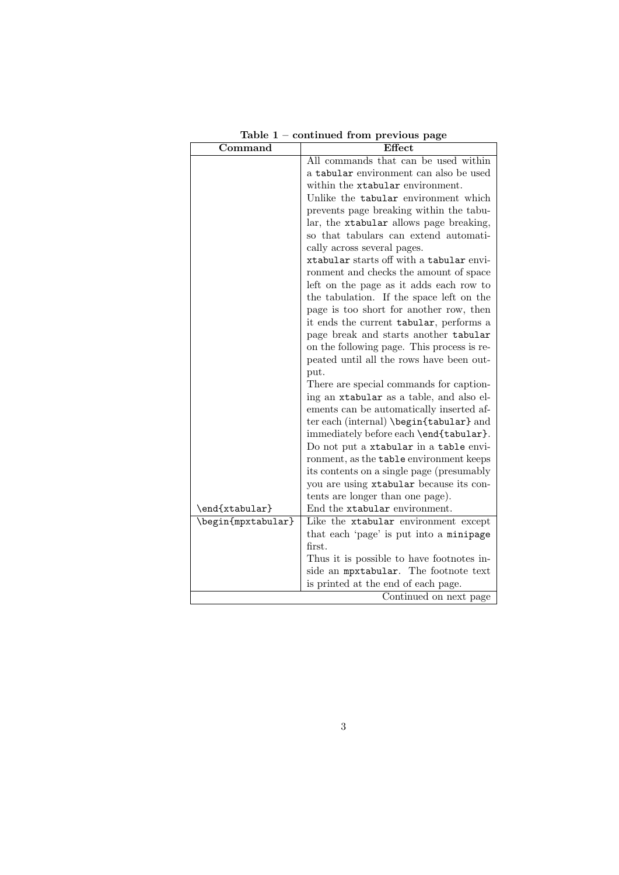| $\operatorname{Command}$ | Effect                                     |
|--------------------------|--------------------------------------------|
|                          | All commands that can be used within       |
|                          | a tabular environment can also be used     |
|                          | within the xtabular environment.           |
|                          | Unlike the tabular environment which       |
|                          | prevents page breaking within the tabu-    |
|                          | lar, the xtabular allows page breaking,    |
|                          | so that tabulars can extend automati-      |
|                          | cally across several pages.                |
|                          | xtabular starts off with a tabular envi-   |
|                          | ronment and checks the amount of space     |
|                          | left on the page as it adds each row to    |
|                          | the tabulation. If the space left on the   |
|                          | page is too short for another row, then    |
|                          | it ends the current tabular, performs a    |
|                          | page break and starts another tabular      |
|                          | on the following page. This process is re- |
|                          | peated until all the rows have been out-   |
|                          | put.                                       |
|                          | There are special commands for caption-    |
|                          | ing an xtabular as a table, and also el-   |
|                          | ements can be automatically inserted af-   |
|                          | ter each (internal) \begin{tabular} and    |
|                          | immediately before each \end{tabular}.     |
|                          | Do not put a xtabular in a table envi-     |
|                          | ronment, as the table environment keeps    |
|                          | its contents on a single page (presumably  |
|                          | you are using xtabular because its con-    |
|                          | tents are longer than one page).           |
| \end{xtabular}           | End the xtabular environment.              |
| \begin{mpxtabular}       | Like the xtabular environment except       |
|                          | that each 'page' is put into a minipage    |
|                          | first.                                     |
|                          | Thus it is possible to have footnotes in-  |
|                          | side an mpxtabular. The footnote text      |
|                          | is printed at the end of each page.        |
|                          | Continued on next page                     |

Table 1 – continued from previous page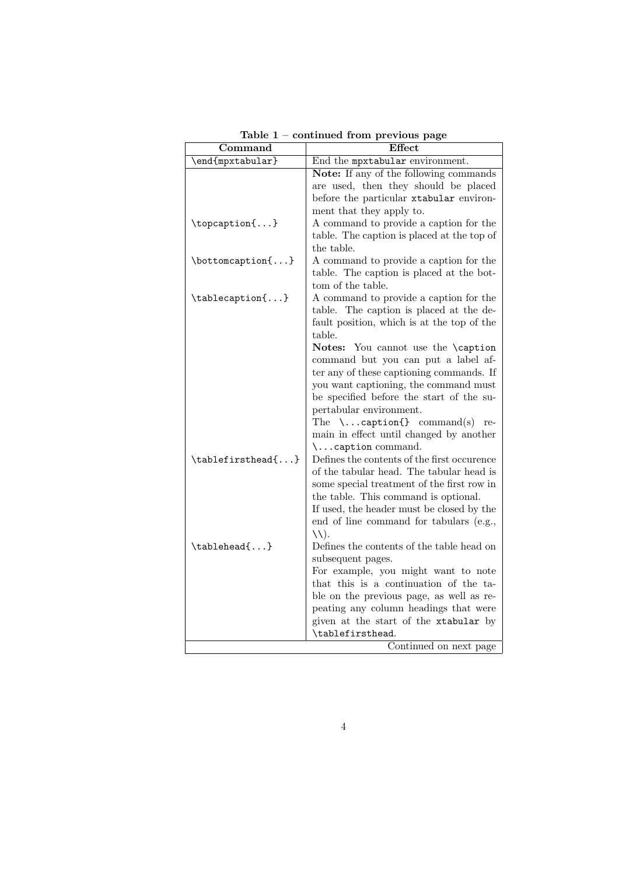| Command           | <b>Effect</b>                                                                                                                                                                                                                                                                                                                                                                                                                                                                                          |
|-------------------|--------------------------------------------------------------------------------------------------------------------------------------------------------------------------------------------------------------------------------------------------------------------------------------------------------------------------------------------------------------------------------------------------------------------------------------------------------------------------------------------------------|
| \end{mpxtabular}  | End the mpxtabular environment.                                                                                                                                                                                                                                                                                                                                                                                                                                                                        |
|                   | Note: If any of the following commands<br>are used, then they should be placed<br>before the particular xtabular environ-<br>ment that they apply to.                                                                                                                                                                                                                                                                                                                                                  |
| \topcaption{}     | A command to provide a caption for the<br>table. The caption is placed at the top of<br>the table.                                                                                                                                                                                                                                                                                                                                                                                                     |
| \bottomcaption{}  | A command to provide a caption for the<br>table. The caption is placed at the bot-<br>tom of the table.                                                                                                                                                                                                                                                                                                                                                                                                |
| \tablecaption{}   | A command to provide a caption for the<br>table. The caption is placed at the de-<br>fault position, which is at the top of the<br>table.<br>Notes: You cannot use the \caption<br>command but you can put a label af-<br>ter any of these captioning commands. If<br>you want captioning, the command must<br>be specified before the start of the su-<br>pertabular environment.<br>The $\ldots$ caption{} command(s)<br>re-<br>main in effect until changed by another<br>$\ldots$ caption command. |
| \tablefirsthead{} | Defines the contents of the first occurence<br>of the tabular head. The tabular head is<br>some special treatment of the first row in<br>the table. This command is optional.<br>If used, the header must be closed by the<br>end of line command for tabulars (e.g.,<br>$\setminus \setminus$ .                                                                                                                                                                                                       |
| \tablehead{}      | Defines the contents of the table head on<br>subsequent pages.<br>For example, you might want to note<br>that this is a continuation of the ta-<br>ble on the previous page, as well as re-<br>peating any column headings that were<br>given at the start of the xtabular by<br>\tablefirsthead.                                                                                                                                                                                                      |
|                   | Continued on next page                                                                                                                                                                                                                                                                                                                                                                                                                                                                                 |

Table 1 – continued from previous page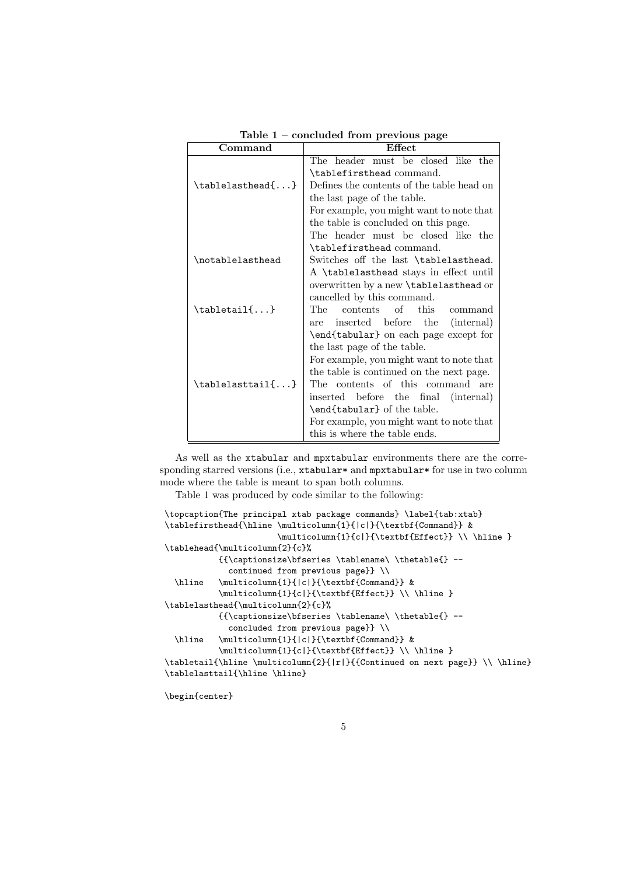| Command                          | Effect                                    |
|----------------------------------|-------------------------------------------|
|                                  | The header must be closed like the        |
|                                  | \tablefirsthead command.                  |
| \tablelasthead{}                 | Defines the contents of the table head on |
|                                  | the last page of the table.               |
|                                  | For example, you might want to note that  |
|                                  | the table is concluded on this page.      |
|                                  | The header must be closed like the        |
|                                  | \tablefirsthead command.                  |
| \notablelasthead                 | Switches off the last \tablelasthead.     |
|                                  | A \tablelasthead stays in effect until    |
|                                  | overwritten by a new \tablelasthead or    |
|                                  | cancelled by this command.                |
| $\mathcal{L}$ }                  | contents of<br>The<br>this<br>command     |
|                                  | inserted before the (internal)<br>are     |
|                                  | \end{tabular} on each page except for     |
|                                  | the last page of the table.               |
|                                  | For example, you might want to note that  |
|                                  | the table is continued on the next page.  |
| $\{\text{tablelasttail}\ldots\}$ | The contents of this command<br>are       |
|                                  | inserted before the final (internal)      |
|                                  | \end{tabular} of the table.               |
|                                  | For example, you might want to note that  |
|                                  | this is where the table ends.             |

Table 1 – concluded from previous page

As well as the xtabular and mpxtabular environments there are the corresponding starred versions (i.e., xtabular\* and mpxtabular\* for use in two column mode where the table is meant to span both columns.

Table 1 was produced by code similar to the following:

```
\topcaption{The principal xtab package commands} \label{tab:xtab}
\tablefirsthead{\hline \multicolumn{1}{|c|}{\textbf{Command}} &
                         \label{thm:main} $$\multicolumn{1}{cl}{cl}{\texttextbf{Effect}} \ \hbox{hline } } \hbox{d}{cl}\tablehead{\multicolumn{2}{c}%
            {{\captionsize\bfseries \tablename\ \thetable{} --
              continued from previous page}} \\
  \hline \multicolumn{1}{|c|}{\textbf{Command}} &
            \label{thm:main} $$\multicolumn{1}{c}{c}{\textstrut} \textbf{Effect}} \ \hline \ }\tablelasthead{\multicolumn{2}{c}%
            {{\captionsize\bfseries \tablename\ \thetable{} --
              concluded from previous page}} \\
 \hline \multicolumn{1}{|c|}{\textbf{Command}} &
            \multicolumn{1}{c|}{\textbf{Effect}} \\ \hline }
\tabletail{\hline \multicolumn{2}{|r|}{{Continued on next page}} \\ \hline}
\tablelasttail{\hline \hline}
```
\begin{center}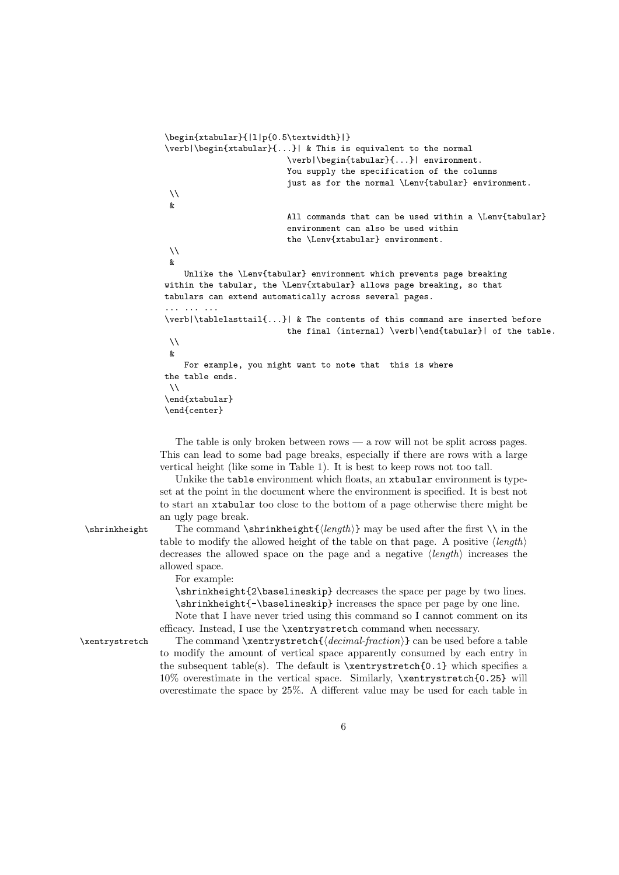```
\begin{xtabular}{|l|p{0.5\textwidth}|}
\verb|\begin{xtabular}{...}| & This is equivalent to the normal
                           \verb|\begin{tabular}{...}| environment.
                           You supply the specification of the columns
                           just as for the normal \Lenv{tabular} environment.
 \\
 \boldsymbol{\ell}All commands that can be used within a \Lenv{tabular}
                           environment can also be used within
                           the \Lenv{xtabular} environment.
 \setminus\ellUnlike the \Lenv{tabular} environment which prevents page breaking
within the tabular, the \Lenv{xtabular} allows page breaking, so that
tabulars can extend automatically across several pages.
... ... ...
\verb|\tablelasttail{...}| & The contents of this command are inserted before
                           the final (internal) \verb|\end{tabular}| of the table.
 \setminus\mathcal{R}For example, you might want to note that this is where
the table ends.
 \lambda\lambda\end{xtabular}
\end{center}
```
The table is only broken between rows — a row will not be split across pages. This can lead to some bad page breaks, especially if there are rows with a large vertical height (like some in Table 1). It is best to keep rows not too tall.

Unkike the table environment which floats, an xtabular environment is typeset at the point in the document where the environment is specified. It is best not to start an xtabular too close to the bottom of a page otherwise there might be an ugly page break.

\shrinkheight The command \shrinkheight { $\langle \lambda \rangle$ } may be used after the first \\ in the table to modify the allowed height of the table on that page. A positive  $\langle \text{length} \rangle$ decreases the allowed space on the page and a negative  $\langle length \rangle$  increases the allowed space.

For example:

\shrinkheight{2\baselineskip} decreases the space per page by two lines. \shrinkheight{-\baselineskip} increases the space per page by one line.

Note that I have never tried using this command so I cannot comment on its efficacy. Instead, I use the \xentrystretch command when necessary.

 $\xentrystretch$  The command  $\xentrystretch{\langle decimal-fraction\rangle}$  can be used before a table to modify the amount of vertical space apparently consumed by each entry in the subsequent table(s). The default is  $\xrightarrow{\text{0.1}}$  which specifies a 10% overestimate in the vertical space. Similarly, \xentrystretch{0.25} will overestimate the space by 25%. A different value may be used for each table in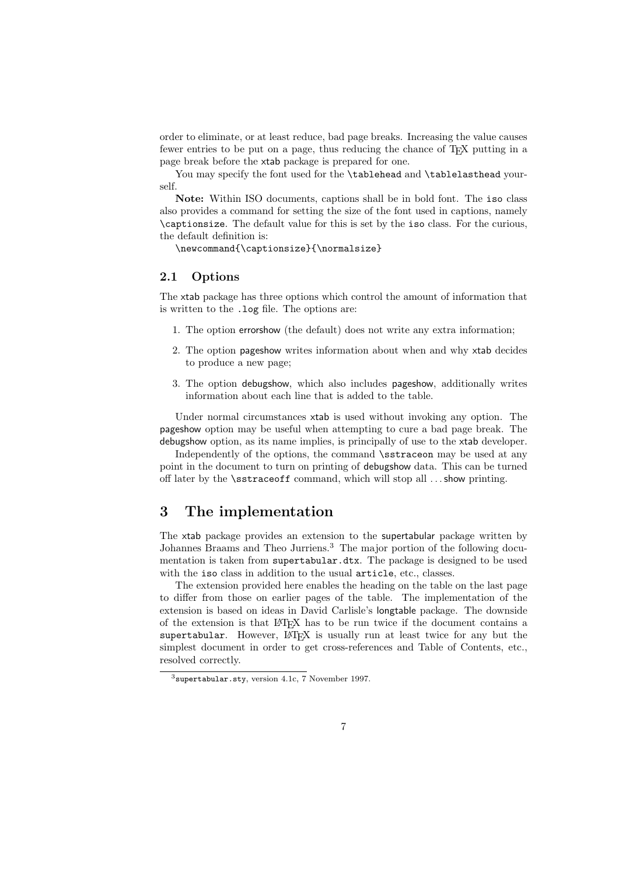order to eliminate, or at least reduce, bad page breaks. Increasing the value causes fewer entries to be put on a page, thus reducing the chance of TEX putting in a page break before the xtab package is prepared for one.

You may specify the font used for the \tablehead and \tablelasthead yourself.

Note: Within ISO documents, captions shall be in bold font. The iso class also provides a command for setting the size of the font used in captions, namely \captionsize. The default value for this is set by the iso class. For the curious, the default definition is:

\newcommand{\captionsize}{\normalsize}

#### 2.1 Options

The xtab package has three options which control the amount of information that is written to the .log file. The options are:

- 1. The option errorshow (the default) does not write any extra information;
- 2. The option pageshow writes information about when and why xtab decides to produce a new page;
- 3. The option debugshow, which also includes pageshow, additionally writes information about each line that is added to the table.

Under normal circumstances xtab is used without invoking any option. The pageshow option may be useful when attempting to cure a bad page break. The debugshow option, as its name implies, is principally of use to the xtab developer.

Independently of the options, the command \sstraceon may be used at any point in the document to turn on printing of debugshow data. This can be turned off later by the \sstraceoff command, which will stop all . . . show printing.

## 3 The implementation

The xtab package provides an extension to the supertabular package written by Johannes Braams and Theo Jurriens.<sup>3</sup> The major portion of the following documentation is taken from supertabular.dtx. The package is designed to be used with the iso class in addition to the usual article, etc., classes.

The extension provided here enables the heading on the table on the last page to differ from those on earlier pages of the table. The implementation of the extension is based on ideas in David Carlisle's longtable package. The downside of the extension is that LATEX has to be run twice if the document contains a supertabular. However, LAT<sub>EX</sub> is usually run at least twice for any but the simplest document in order to get cross-references and Table of Contents, etc., resolved correctly.

 $3$ supertabular.sty, version 4.1c, 7 November 1997.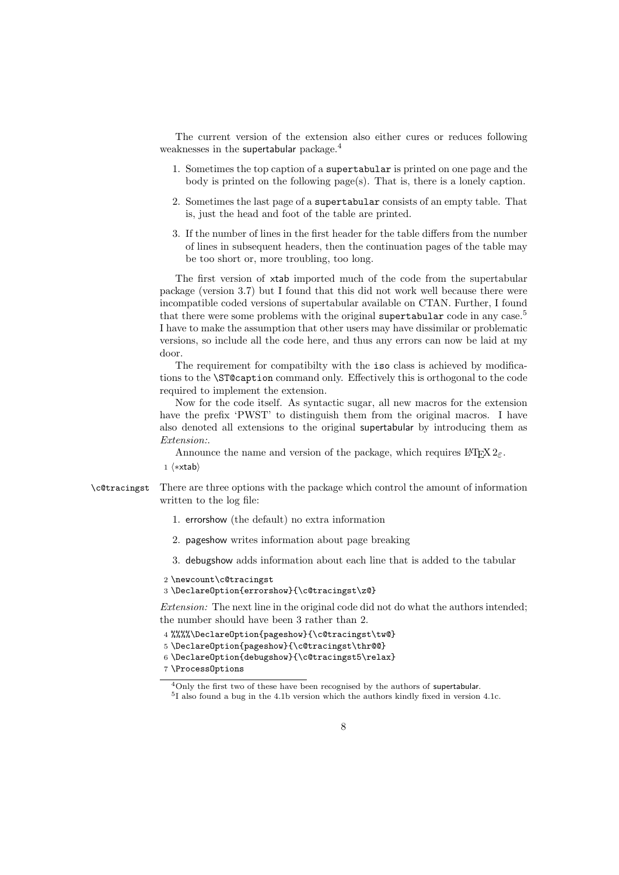The current version of the extension also either cures or reduces following weaknesses in the supertabular package.<sup>4</sup>

- 1. Sometimes the top caption of a supertabular is printed on one page and the body is printed on the following page(s). That is, there is a lonely caption.
- 2. Sometimes the last page of a supertabular consists of an empty table. That is, just the head and foot of the table are printed.
- 3. If the number of lines in the first header for the table differs from the number of lines in subsequent headers, then the continuation pages of the table may be too short or, more troubling, too long.

The first version of xtab imported much of the code from the supertabular package (version 3.7) but I found that this did not work well because there were incompatible coded versions of supertabular available on CTAN. Further, I found that there were some problems with the original supertabular code in any case.<sup>5</sup> I have to make the assumption that other users may have dissimilar or problematic versions, so include all the code here, and thus any errors can now be laid at my door.

The requirement for compatibilty with the iso class is achieved by modifications to the \ST@caption command only. Effectively this is orthogonal to the code required to implement the extension.

Now for the code itself. As syntactic sugar, all new macros for the extension have the prefix 'PWST' to distinguish them from the original macros. I have also denoted all extensions to the original supertabular by introducing them as Extension:.

Announce the name and version of the package, which requires  $\text{LATEX } 2_{\epsilon}$ .

1 (\*xtab)

- \c@tracingst There are three options with the package which control the amount of information written to the log file:
	- 1. errorshow (the default) no extra information
	- 2. pageshow writes information about page breaking
	- 3. debugshow adds information about each line that is added to the tabular
	- 2 \newcount\c@tracingst
	- 3 \DeclareOption{errorshow}{\c@tracingst\z@}

Extension: The next line in the original code did not do what the authors intended; the number should have been 3 rather than 2.

4 %%%%\DeclareOption{pageshow}{\c@tracingst\tw@}

- 5 \DeclareOption{pageshow}{\c@tracingst\thr@@}
- 6 \DeclareOption{debugshow}{\c@tracingst5\relax}
- 7 \ProcessOptions

<sup>4</sup>Only the first two of these have been recognised by the authors of supertabular.

<sup>5</sup> I also found a bug in the 4.1b version which the authors kindly fixed in version 4.1c.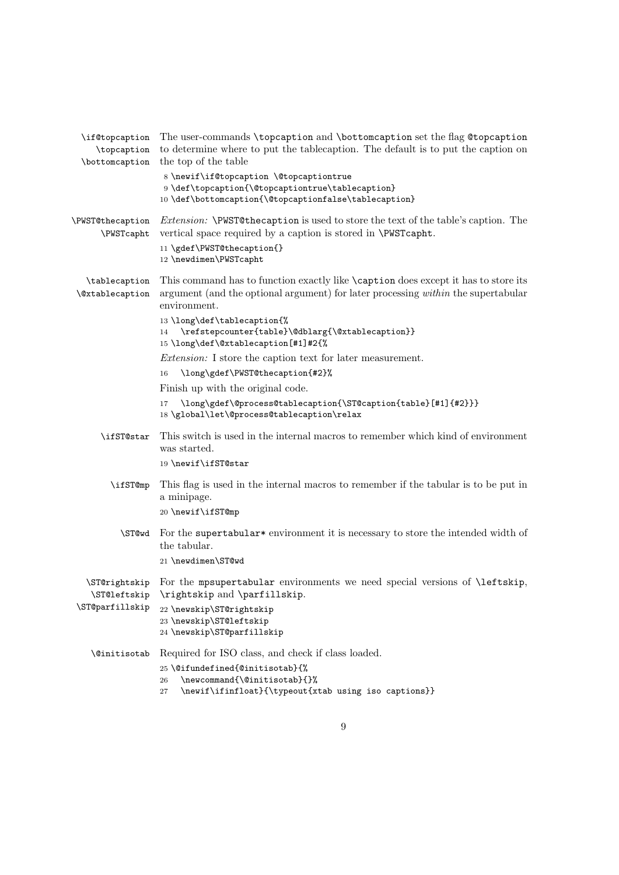| \if@topcaption<br>\topcaption<br>\bottomcaption | The user-commands \topcaption and \bottomcaption set the flag @topcaption<br>to determine where to put the tablecaption. The default is to put the caption on<br>the top of the table                             |
|-------------------------------------------------|-------------------------------------------------------------------------------------------------------------------------------------------------------------------------------------------------------------------|
|                                                 | 8 \newif\if@topcaption \@topcaptiontrue<br>9 \def\topcaption{\@topcaptiontrue\tablecaption}<br>10 \def\bottomcaption{\@topcaptionfalse\tablecaption}                                                              |
| \PWST@thecaption<br>\PWSTcapht                  | <i>Extension:</i> \PWST@thecaption is used to store the text of the table's caption. The<br>vertical space required by a caption is stored in \PWSTcapht.<br>11 \gdef\PWST@thecaption{}<br>12 \newdimen\PWSTcapht |
| \tablecaption<br><i><b>\@xtablecaption</b></i>  | This command has to function exactly like <b>\caption</b> does except it has to store its<br>argument (and the optional argument) for later processing <i>within</i> the supertabular<br>environment.             |
|                                                 | 13 \long\def\tablecaption{%<br>$\verb \refstepcounter{table} \\@blarg{\verb \@xtablecaption} $<br>14<br>15\long\def\@xtablecaption[#1]#2{%                                                                        |
|                                                 | <i>Extension:</i> I store the caption text for later measurement.                                                                                                                                                 |
|                                                 | \long\gdef\PWST@thecaption{#2}%<br>16                                                                                                                                                                             |
|                                                 | Finish up with the original code.                                                                                                                                                                                 |
|                                                 | \long\gdef\@process@tablecaption{\ST@caption{table}[#1]{#2}}}<br>17<br>18\global\let\@process@tablecaption\relax                                                                                                  |
| \ifST@star                                      | This switch is used in the internal macros to remember which kind of environment<br>was started.                                                                                                                  |
|                                                 | 19 \newif\ifST@star                                                                                                                                                                                               |
| \ifST@mp                                        | This flag is used in the internal macros to remember if the tabular is to be put in<br>a minipage.                                                                                                                |
|                                                 | 20 \newif\ifST@mp                                                                                                                                                                                                 |
| \ST@wd                                          | For the supertabular <sup>*</sup> environment it is necessary to store the intended width of<br>the tabular.                                                                                                      |
|                                                 | 21 \newdimen\ST@wd                                                                                                                                                                                                |
| \ST@rightskip<br>\ST@leftskip                   | For the mpsupertabular environments we need special versions of <i>\leftskip</i> ,<br>\rightskip and \parfillskip.                                                                                                |
| \ST@parfillskip                                 | 22 \newskip\ST@rightskip<br>23 \newskip\ST@leftskip<br>24 \newskip\ST@parfillskip                                                                                                                                 |
| <b>\@initisotab</b>                             | Required for ISO class, and check if class loaded.                                                                                                                                                                |
|                                                 | 25 \@ifundefined{@initisotab}{%                                                                                                                                                                                   |
|                                                 | \newcommand{\@initisotab}{}%<br>26<br>\newif\ifinfloat}{\typeout{xtab using iso captions}}<br>27                                                                                                                  |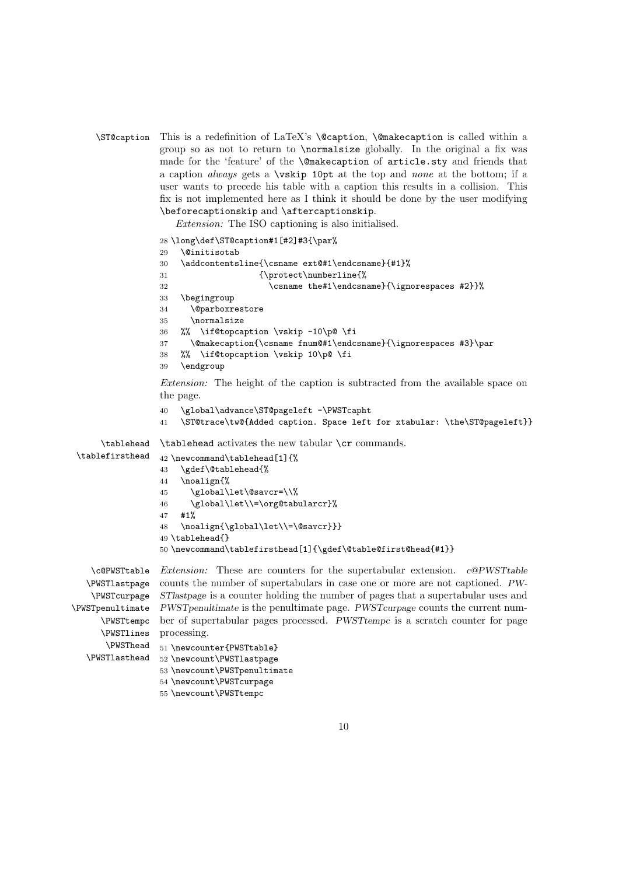```
\ST@caption This is a redefinition of LaTeX's \@caption, \@makecaption is called within a
             group so as not to return to \normalsize globally. In the original a fix was
             made for the 'feature' of the \@makecaption of article.sty and friends that
             a caption always gets a \vskip 10pt at the top and none at the bottom; if a
             user wants to precede his table with a caption this results in a collision. This
             fix is not implemented here as I think it should be done by the user modifying
             \beforecaptionskip and \aftercaptionskip.
```
Extension: The ISO captioning is also initialised.

```
28 \long\def\ST@caption#1[#2]#3{\par%
                 29 \@initisotab
                 30 \addcontentsline{\csname ext@#1\endcsname}{#1}%
                 31 {\protect\numberline{%}
                 32 \csname the#1\endcsname}{\ignorespaces #2}}%
                 33 \begingroup
                 34 \@parboxrestore
                 35 \normalsize
                 36 %% \if@topcaption \vskip -10\p@ \fi
                 37 \@makecaption{\csname fnum@#1\endcsname}{\ignorespaces #3}\par
                 38 %% \if@topcaption \vskip 10\p@ \fi
                 39 \endgroup
                 Extension: The height of the caption is subtracted from the available space on
                 the page.
                 40 \global\advance\ST@pageleft -\PWSTcapht
                 41 \ST@trace\tw@{Added caption. Space left for xtabular: \the\ST@pageleft}}
     \tablehead
\tablefirsthead
                 \tablehead activates the new tabular \cr commands.
                 42 \newcommand\tablehead[1]{%
                 43 \gdef\@tablehead{%
                 44 \noalign{%
                 45 \global\let\@savcr=\\%
                 46 \global\let\\=\org@tabularcr}%
                 47 #1%
                 48 \noalign{\global\let\\=\@savcr}}}
                 49 \tablehead{}
                 50 \newcommand\tablefirsthead[1]{\gdef\@table@first@head{#1}}
   \c@PWSTtable
  \PWSTlastpage
   \PWSTcurpage
\PWSTpenultimate
PWSTpenultimate is the penultimate page. PWSTcurpage counts the current num-
     \PWSTtempc
ber of supertabular pages processed. PWSTtempc is a scratch counter for page
     \PWSTlines
processing.
      \PWSThead
  \PWSTlasthead
                 Extension: These are counters for the supertabular extension. c@PWSTtable
                 counts the number of supertabulars in case one or more are not captioned. PW-
                 STlastpage is a counter holding the number of pages that a supertabular uses and
                 51 \newcounter{PWSTtable}
                 52 \newcount\PWSTlastpage
                 53 \newcount\PWSTpenultimate
                 54 \newcount\PWSTcurpage
```

```
55 \newcount\PWSTtempc
```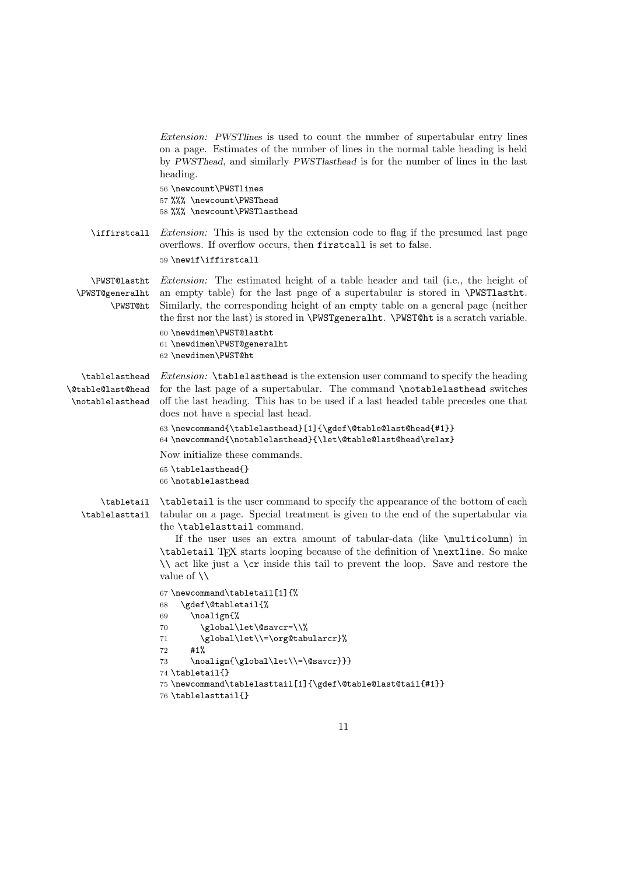|                                                                | <i>Extension:</i> PWSTInes is used to count the number of supertabular entry lines<br>on a page. Estimates of the number of lines in the normal table heading is held<br>by PWSThead, and similarly PWSTlasthead is for the number of lines in the last<br>heading.<br>56 \newcount\PWSTlines<br>57 %%% \newcount\PWSThead<br>58 %%% \newcount\PWSTlasthead                                                                                                                                                                                                                                                                                                                                                                                                                                                 |
|----------------------------------------------------------------|-------------------------------------------------------------------------------------------------------------------------------------------------------------------------------------------------------------------------------------------------------------------------------------------------------------------------------------------------------------------------------------------------------------------------------------------------------------------------------------------------------------------------------------------------------------------------------------------------------------------------------------------------------------------------------------------------------------------------------------------------------------------------------------------------------------|
| \iffirstcall                                                   | <i>Extension:</i> This is used by the extension code to flag if the presumed last page<br>overflows. If overflow occurs, then firstcall is set to false.<br>59 \newif\iffirstcall                                                                                                                                                                                                                                                                                                                                                                                                                                                                                                                                                                                                                           |
| \PWST@lastht<br>\PWST@generalht<br>\PWST@ht                    | <i>Extension:</i> The estimated height of a table header and tail (i.e., the height of<br>an empty table) for the last page of a supertabular is stored in \PWST1astht.<br>Similarly, the corresponding height of an empty table on a general page (neither<br>the first nor the last) is stored in <b>\PWSTgenerallit. \PWST@ht</b> is a scratch variable.<br>60 \newdimen\PWST@lastht<br>61 \newdimen\PWST@generalht<br>62 \newdimen\PWST@ht                                                                                                                                                                                                                                                                                                                                                              |
| \tablelasthead<br><b>\@table@last@head</b><br>\notablelasthead | <i>Extension:</i> \tablelasthead is the extension user command to specify the heading<br>for the last page of a supertabular. The command \notablelasthead switches<br>off the last heading. This has to be used if a last headed table precedes one that<br>does not have a special last head.<br>$63 \newcommand{\tablelasthead}{1}{\qquad}C1 \newcommand{\tablelast00}1.$<br>64 \newcommand{\notablelasthead}{\let\@table@last@head\relax}<br>Now initialize these commands.<br>65 \tablelasthead{}<br>66 \notablelasthead                                                                                                                                                                                                                                                                               |
| \tabletail<br>\tablelasttail                                   | <b>\tabletail</b> is the user command to specify the appearance of the bottom of each<br>tabular on a page. Special treatment is given to the end of the supertabular via<br>the \tablelasttail command.<br>If the user uses an extra amount of tabular-data (like \multicolumn) in<br>\tabletail TFX starts looping because of the definition of \nextline. So make<br>\\ act like just a \cr inside this tail to prevent the loop. Save and restore the<br>value of $\setminus$<br>67 \newcommand\tabletail[1]{%<br>\gdef\@tabletail{%<br>68<br>\noalign{%<br>69<br>\global\let\@savcr=\\%<br>70<br>\global\let\\=\org@tabularcr}%<br>71<br>#1%<br>72<br>\noalign{\global\let\\=\@savcr}}}<br>73<br>74 \tabletail{}<br>75 \newcommand\tablelasttail[1]{\gdef\@table@last@tail{#1}}<br>76 \tablelasttail{} |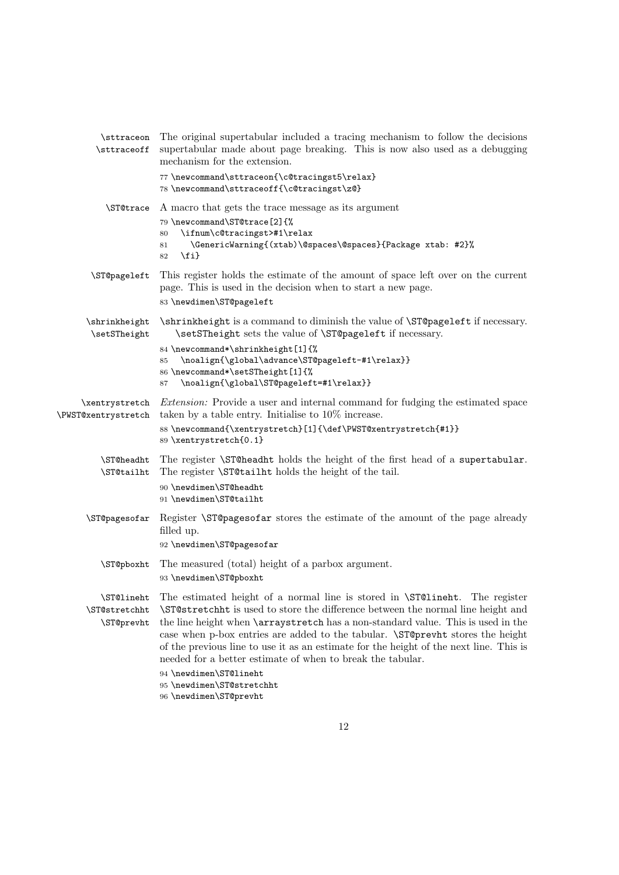| \sttraceon<br>\sttraceoff                 | The original supertabular included a tracing mechanism to follow the decisions<br>supertabular made about page breaking. This is now also used as a debugging<br>mechanism for the extension.                                                                                                                                                                                                                                                                                                                                                                                                        |
|-------------------------------------------|------------------------------------------------------------------------------------------------------------------------------------------------------------------------------------------------------------------------------------------------------------------------------------------------------------------------------------------------------------------------------------------------------------------------------------------------------------------------------------------------------------------------------------------------------------------------------------------------------|
|                                           | 77 \newcommand\sttraceon{\c@tracingst5\relax}<br>78 \newcommand\sttraceoff{\c@tracingst\z@}                                                                                                                                                                                                                                                                                                                                                                                                                                                                                                          |
| \ST@trace                                 | A macro that gets the trace message as its argument<br>79 \newcommand\ST@trace[2]{%<br>\ifnum\c@tracingst>#1\relax<br>80<br>\GenericWarning{(xtab)\@spaces\@spaces}{Package xtab: #2}%<br>81<br>$\{fi\}$<br>82                                                                                                                                                                                                                                                                                                                                                                                       |
| \ST@pageleft                              | This register holds the estimate of the amount of space left over on the current<br>page. This is used in the decision when to start a new page.<br>83 \newdimen\ST@pageleft                                                                                                                                                                                                                                                                                                                                                                                                                         |
| \shrinkheight<br>\setSTheight             | \shrinkheight is a command to diminish the value of \ST@pageleft if necessary.<br>\setSTheight sets the value of \ST@pageleft if necessary.                                                                                                                                                                                                                                                                                                                                                                                                                                                          |
|                                           | 84 \newcommand*\shrinkheight[1]{%<br>\noalign{\global\advance\ST@pageleft-#1\relax}}<br>85<br>86 \newcommand*\setSTheight[1]{%<br>\noalign{\global\ST@pageleft=#1\relax}}<br>87                                                                                                                                                                                                                                                                                                                                                                                                                      |
| \xentrystretch<br>\PWST@xentrystretch     | <i>Extension:</i> Provide a user and internal command for fudging the estimated space<br>taken by a table entry. Initialise to $10\%$ increase.<br>88\newcommand{\xentrystretch}[1]{\def\PWST@xentrystretch{#1}}<br>89 \xentrystretch{0.1}                                                                                                                                                                                                                                                                                                                                                           |
| \ST@headht<br>\ST@tailht                  | The register <b>\ST@headht</b> holds the height of the first head of a supertabular.<br>The register <b>\ST@tailht</b> holds the height of the tail.<br>90 \newdimen\ST@headht<br>91 \newdimen\ST@tailht                                                                                                                                                                                                                                                                                                                                                                                             |
| \ST@pagesofar                             | Register \ST@pagesofar stores the estimate of the amount of the page already<br>filled up.<br>92 \newdimen\ST@pagesofar                                                                                                                                                                                                                                                                                                                                                                                                                                                                              |
| \ST@pboxht                                | The measured (total) height of a parbox argument.<br>93 \newdimen\ST@pboxht                                                                                                                                                                                                                                                                                                                                                                                                                                                                                                                          |
| \ST@lineht<br>\ST@stretchht<br>\ST@prevht | The estimated height of a normal line is stored in <b>\ST@lineht</b> . The register<br>\ST@stretchht is used to store the difference between the normal line height and<br>the line height when <b>\arraystretch</b> has a non-standard value. This is used in the<br>case when p-box entries are added to the tabular. <i>STO</i> prevht stores the height<br>of the previous line to use it as an estimate for the height of the next line. This is<br>needed for a better estimate of when to break the tabular.<br>94 \newdimen\ST@lineht<br>95 \newdimen\ST@stretchht<br>96 \newdimen\ST@prevht |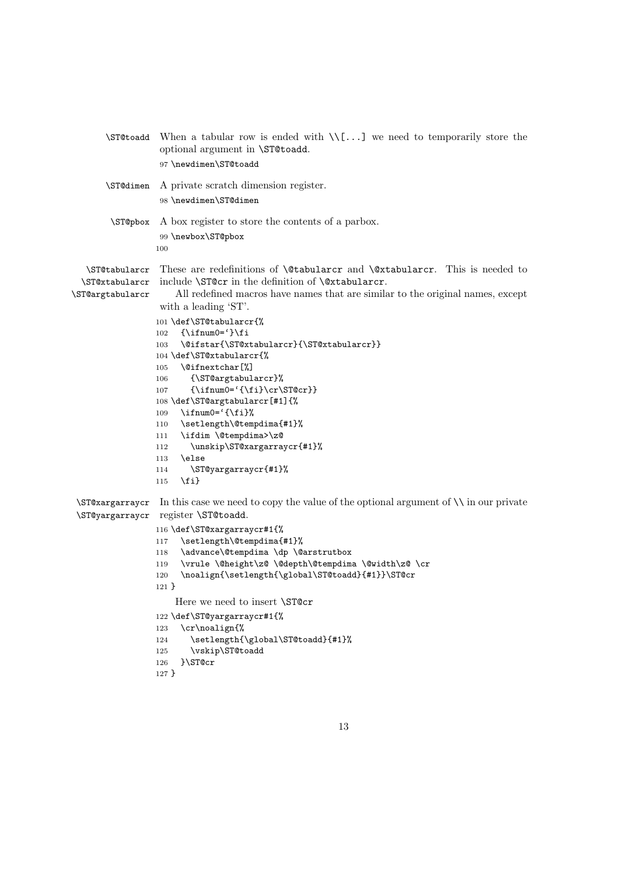```
\ST@toadd When a tabular row is ended with \[\cdot\] we need to temporarily store the
                  optional argument in \ST@toadd.
                  97 \newdimen\ST@toadd
       \ST@dimen A private scratch dimension register.
                  98 \newdimen\ST@dimen
        \ST@pbox A box register to store the contents of a parbox.
                  99 \newbox\ST@pbox
                 100
   \ST@tabularcr
These are redefinitions of \@tabularcr and \@xtabularcr. This is needed to
  \ST@xtabularcr
include \ST@cr in the definition of \@xtabularcr.
\ST@argtabularcr
                     All redefined macros have names that are similar to the original names, except
                  with a leading 'ST'.
                 101 \def\ST@tabularcr{%
                 102 {\rightarrow}103 \@ifstar{\ST@xtabularcr}{\ST@xtabularcr}}
                 104 \def\ST@xtabularcr{%
                 105 \@ifnextchar[%]
                 106 {\ST@argtabularcr}%
                 107 {\innum0='}{fi}\cr\ST@cr}108 \def\ST@argtabularcr[#1]{%
                 109 \ifnum0=\iint_{\text{min}}110 \setlength\@tempdima{#1}%
                 111 \ifdim \@tempdima>\z@
                 112 \unskip\ST@xargarraycr{#1}%
                 113 \else
                 114 \ST@yargarraycr{#1}%
                 115 \fi}
 \ST@xargarraycr
In this case we need to copy the value of the optional argument of \\ in our private
 \ST@yargarraycr
register \ST@toadd.
                 116 \def\ST@xargarraycr#1{%
                 117 \setlength\@tempdima{#1}%
                 118 \advance\@tempdima \dp \@arstrutbox
                 119 \vrule \@height\z@ \@depth\@tempdima \@width\z@ \cr
                 120 \noalign{\setlength{\global\ST@toadd}{#1}}\ST@cr
                 121 }
                     Here we need to insert \ST@cr
                 122 \def\ST@yargarraycr#1{%
                 123 \cr\noalign{%
                 124 \setlength{\global\ST@toadd}{#1}%
                 125 \vskip\ST@toadd
                 126 }\ST@cr
                 127 }
```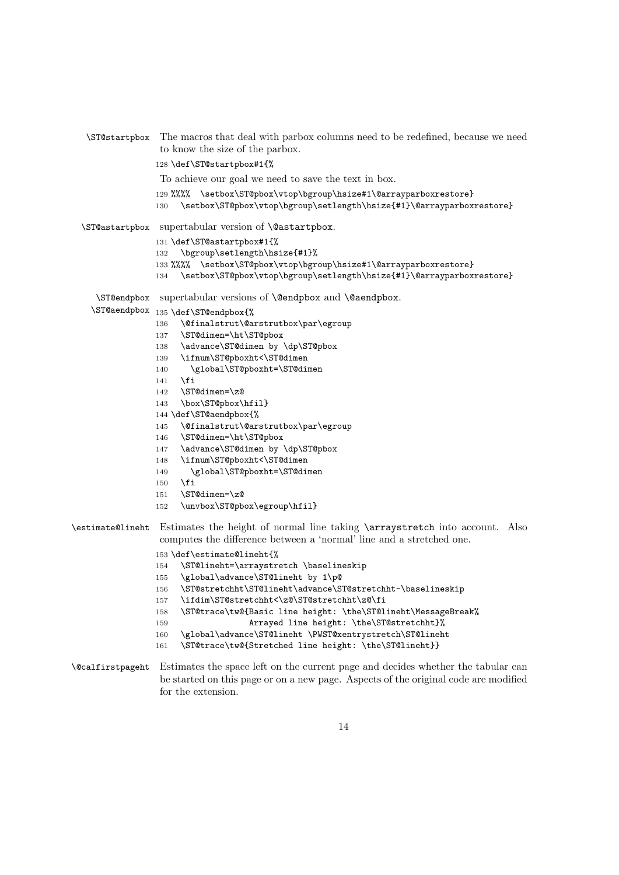\ST@startpbox The macros that deal with parbox columns need to be redefined, because we need to know the size of the parbox. \def\ST@startpbox#1{% To achieve our goal we need to save the text in box. 129 %%%% \setbox\ST@pbox\vtop\bgroup\hsize#1\@arrayparboxrestore} 130 \setbox\ST@pbox\vtop\bgroup\setlength\hsize{#1}\@arrayparboxrestore} \ST@astartpbox supertabular version of \@astartpbox. \def\ST@astartpbox#1{% \bgroup\setlength\hsize{#1}% 133 %%%%\setbox\ST@pbox\vtop\bgroup\hsize#1\@arrayparboxrestore} \setbox\ST@pbox\vtop\bgroup\setlength\hsize{#1}\@arrayparboxrestore} \ST@endpbox supertabular versions of \@endpbox and \@aendpbox. \ST@aendpbox 135 \def\ST@endpbox{% \@finalstrut\@arstrutbox\par\egroup \ST@dimen=\ht\ST@pbox 138 \advance\ST@dimen by \dp\ST@pbox \ifnum\ST@pboxht<\ST@dimen \global\ST@pboxht=\ST@dimen  $141$  \fi \ST@dimen=\z@ \box\ST@pbox\hfil} \def\ST@aendpbox{% \@finalstrut\@arstrutbox\par\egroup \ST@dimen=\ht\ST@pbox 147 \advance\ST@dimen by \dp\ST@pbox \ifnum\ST@pboxht<\ST@dimen 149 \global\ST@pboxht=\ST@dimen  $\overline{150}$  \ST@dimen=\z@ \unvbox\ST@pbox\egroup\hfil} \estimate@lineht Estimates the height of normal line taking \arraystretch into account. Also computes the difference between a 'normal' line and a stretched one. \def\estimate@lineht{% \ST@lineht=\arraystretch \baselineskip \global\advance\ST@lineht by 1\p@ \ST@stretchht\ST@lineht\advance\ST@stretchht-\baselineskip \ifdim\ST@stretchht<\z@\ST@stretchht\z@\fi \ST@trace\tw@{Basic line height: \the\ST@lineht\MessageBreak% **Arrayed line height:** \the\ST@stretchht}% \global\advance\ST@lineht \PWST@xentrystretch\ST@lineht \ST@trace\tw@{Stretched line height: \the\ST@lineht}}

\@calfirstpageht Estimates the space left on the current page and decides whether the tabular can be started on this page or on a new page. Aspects of the original code are modified for the extension.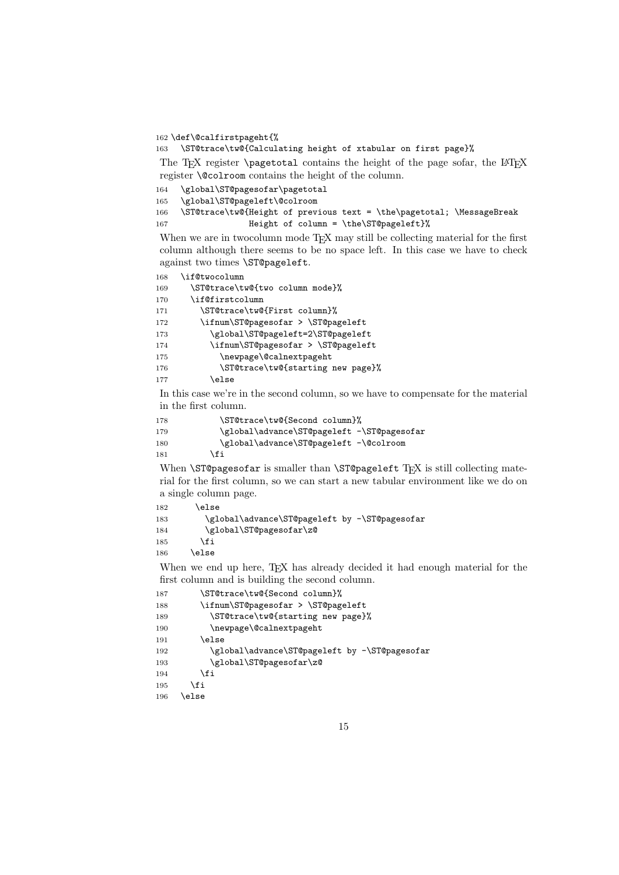\def\@calfirstpageht{%

\ST@trace\tw@{Calculating height of xtabular on first page}%

The TEX register  $\text{pagenta}$  contains the height of the page sofar, the LATEX register \@colroom contains the height of the column.

\global\ST@pagesofar\pagetotal

\global\ST@pageleft\@colroom

 \ST@trace\tw@{Height of previous text = \the\pagetotal; \MessageBreak **Height of column = \the\ST@pageleft}%** 

When we are in two column mode T<sub>E</sub>X may still be collecting material for the first column although there seems to be no space left. In this case we have to check against two times \ST@pageleft.

\if@twocolumn

| 169 | \ST@trace\tw@{two column mode}%    |
|-----|------------------------------------|
| 170 | \if@firstcolumn                    |
| 171 | \ST@trace\tw@{First column}%       |
| 172 | \ifnum\ST@pagesofar > \ST@pageleft |
| 173 | \global\ST@pageleft=2\ST@pageleft  |
| 174 | \ifnum\ST@pagesofar > \ST@pageleft |
| 175 | \newpage\@calnextpageht            |
| 176 | \ST@trace\tw@{starting new page}%  |
| 177 | \else                              |
|     |                                    |

In this case we're in the second column, so we have to compensate for the material in the first column.

```
178 \ST@trace\tw@{Second column}%
179 \global\advance\ST@pageleft -\ST@pagesofar
180 \global\advance\ST@pageleft -\@colroom
181 \qquad \qquad \text{If} \quad
```
When **\ST@pagesofar** is smaller than **\ST@pageleft** T<sub>E</sub>X is still collecting material for the first column, so we can start a new tabular environment like we do on a single column page.

```
182 \else
183 \global\advance\ST@pageleft by -\ST@pagesofar
184 \global\ST@pagesofar\z@
185 \fi
186 \else
```
When we end up here, TEX has already decided it had enough material for the first column and is building the second column.

| 187 | \ST@trace\tw@{Second column}%                 |
|-----|-----------------------------------------------|
| 188 | \ifnum\ST@pagesofar > \ST@pageleft            |
| 189 | \ST@trace\tw@{starting new page}%             |
| 190 | \newpage\@calnextpageht                       |
| 191 | \else                                         |
| 192 | \global\advance\ST@pageleft by -\ST@pagesofar |
| 193 | \global\ST@pagesofar\z@                       |
| 194 | \fi                                           |
| 195 | \fi                                           |
| 196 | \else                                         |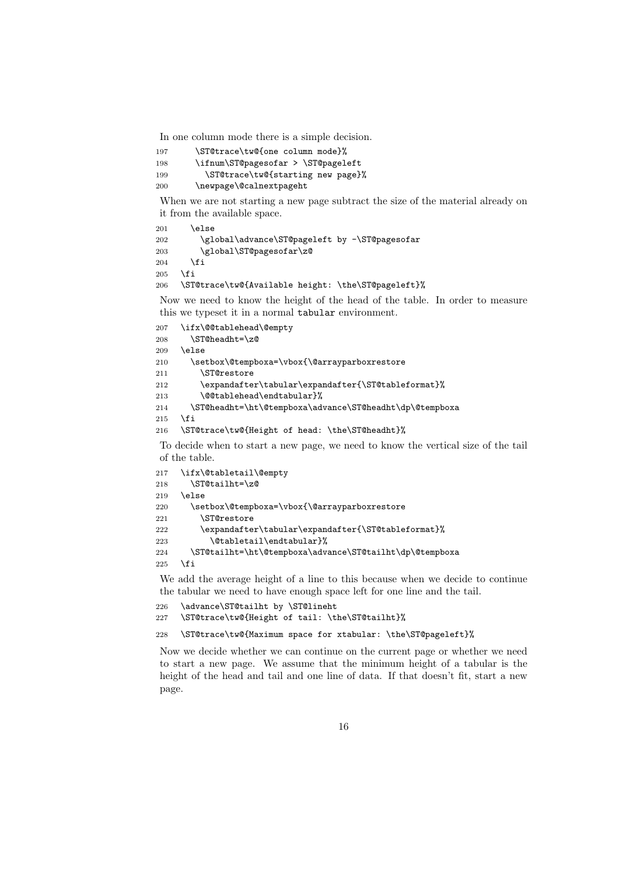In one column mode there is a simple decision.

```
197 \ST@trace\tw@{one column mode}%
198 \ifnum\ST@pagesofar > \ST@pageleft
199 \ST@trace\tw@{starting new page}%
200 \newpage\@calnextpageht
```
When we are not starting a new page subtract the size of the material already on it from the available space.

```
201 \else
202 \global\advance\ST@pageleft by -\ST@pagesofar
203 \global\ST@pagesofar\z@
204 \fi
205 \fi
206 \ST@trace\tw@{Available height: \the\ST@pageleft}%
```
Now we need to know the height of the head of the table. In order to measure this we typeset it in a normal tabular environment.

```
207 \ifx\@@tablehead\@empty
208 \ST@headht=\z@
209 \else
210 \setbox\@tempboxa=\vbox{\@arrayparboxrestore
211 \ST@restore
212 \expandafter\tabular\expandafter{\ST@tableformat}%
213 \@@tablehead\endtabular}%
214 \ST@headht=\ht\@tempboxa\advance\ST@headht\dp\@tempboxa
215 \fi
216 \ST@trace\tw@{Height of head: \the\ST@headht}%
```
To decide when to start a new page, we need to know the vertical size of the tail of the table.

```
217 \ifx\@tabletail\@empty
218 \ST@tailht=\z@
219 \else
220 \setbox\@tempboxa=\vbox{\@arrayparboxrestore
221 \ST@restore
222 \expandafter\tabular\expandafter{\ST@tableformat}%
223 \@tabletail\endtabular}%
224 \ST@tailht=\ht\@tempboxa\advance\ST@tailht\dp\@tempboxa
225 \setminusfi
```
We add the average height of a line to this because when we decide to continue the tabular we need to have enough space left for one line and the tail.

```
226 \advance\ST@tailht by \ST@lineht
227 \ST@trace\tw@{Height of tail: \the\ST@tailht}%
```
228 \ST@trace\tw@{Maximum space for xtabular: \the\ST@pageleft}%

Now we decide whether we can continue on the current page or whether we need to start a new page. We assume that the minimum height of a tabular is the height of the head and tail and one line of data. If that doesn't fit, start a new page.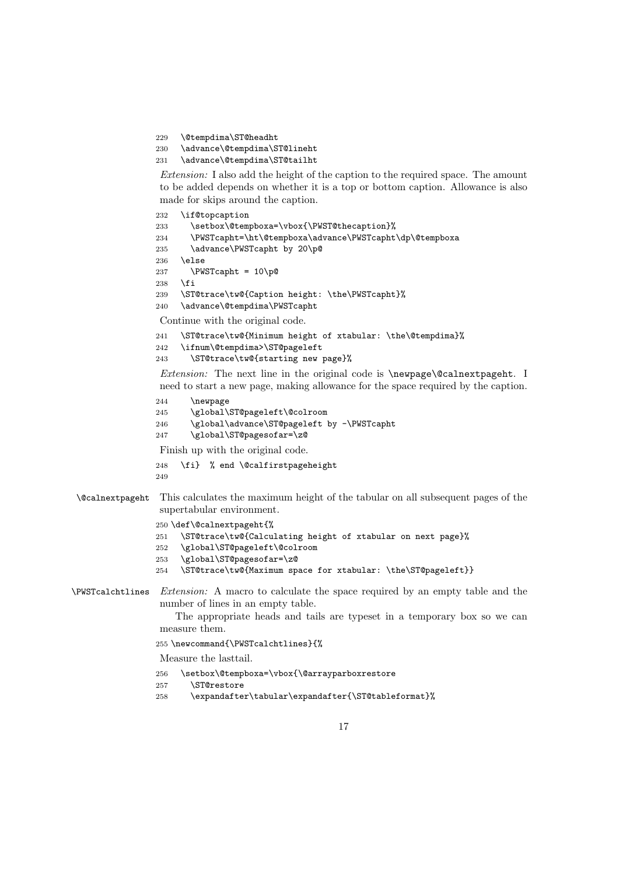229 \@tempdima\ST@headht

```
230 \advance\@tempdima\ST@lineht
```
231 \advance\@tempdima\ST@tailht

Extension: I also add the height of the caption to the required space. The amount to be added depends on whether it is a top or bottom caption. Allowance is also made for skips around the caption.

```
232 \if@topcaption
233 \setbox\@tempboxa=\vbox{\PWST@thecaption}%
234 \PWSTcapht=\ht\@tempboxa\advance\PWSTcapht\dp\@tempboxa
235 \advance\PWSTcapht by 20\p@
236 \else
237 \PWSTcapht = 10\p@
238 \fi
239 \ST@trace\tw@{Caption height: \the\PWSTcapht}%
240 \advance\@tempdima\PWSTcapht
Continue with the original code.
241 \ST@trace\tw@{Minimum height of xtabular: \the\@tempdima}%
242 \ifnum\@tempdima>\ST@pageleft
243 \ST@trace\tw@{starting new page}%
```
Extension: The next line in the original code is \newpage\@calnextpageht. I need to start a new page, making allowance for the space required by the caption.

244 \newpage

```
245 \global\ST@pageleft\@colroom
```

```
246 \global\advance\ST@pageleft by -\PWSTcapht
```
247 \global\ST@pagesofar=\z@

Finish up with the original code.

```
248 \fi} % end \@calfirstpageheight
249
```
#### \@calnextpageht This calculates the maximum height of the tabular on all subsequent pages of the supertabular environment.

```
250 \def\@calnextpageht{%
```

```
251 \ST@trace\tw@{Calculating height of xtabular on next page}%
```
- 252 \global\ST@pageleft\@colroom
- 253 \global\ST@pagesofar=\z@
- 254 \ST@trace\tw@{Maximum space for xtabular: \the\ST@pageleft}}

### \PWSTcalchtlines Extension: A macro to calculate the space required by an empty table and the number of lines in an empty table.

The appropriate heads and tails are typeset in a temporary box so we can measure them.

255 \newcommand{\PWSTcalchtlines}{%

```
Measure the lasttail.
```
- 256 \setbox\@tempboxa=\vbox{\@arrayparboxrestore
- 257 \ST@restore
- 258 \expandafter\tabular\expandafter{\ST@tableformat}%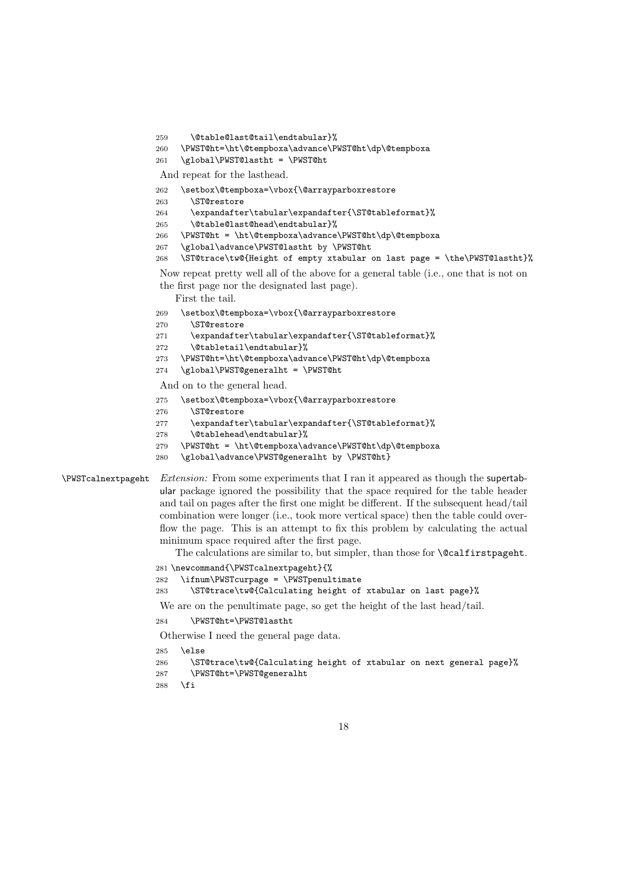```
259 \@table@last@tail\endtabular}%
260 \PWST@ht=\ht\@tempboxa\advance\PWST@ht\dp\@tempboxa
261 \global\PWST@lastht = \PWST@ht
And repeat for the lasthead.
262 \setbox\@tempboxa=\vbox{\@arrayparboxrestore
263 \ST@restore
264 \expandafter\tabular\expandafter{\ST@tableformat}%
265 \@table@last@head\endtabular}%
266 \PWST@ht = \ht\@tempboxa\advance\PWST@ht\dp\@tempboxa
267 \global\advance\PWST@lastht by \PWST@ht
268 \ST@trace\tw@{Height of empty xtabular on last page = \the\PWST@lastht}%
Now repeat pretty well all of the above for a general table (i.e., one that is not on
the first page nor the designated last page).
    First the tail.
269 \setbox\@tempboxa=\vbox{\@arrayparboxrestore
270 \ST@restore
271 \expandafter\tabular\expandafter{\ST@tableformat}%
272 \@tabletail\endtabular}%
273 \PWST@ht=\ht\@tempboxa\advance\PWST@ht\dp\@tempboxa
274 \global\PWST@generalht = \PWST@ht
And on to the general head.
275 \setbox\@tempboxa=\vbox{\@arrayparboxrestore
276 \ST@restore
277 \expandafter\tabular\expandafter{\ST@tableformat}%
278 \@tablehead\endtabular}%
```

```
279 \PWST@ht = \ht\@tempboxa\advance\PWST@ht\dp\@tempboxa
```

```
280 \global\advance\PWST@generalht by \PWST@ht}
```
\PWSTcalnextpageht Extension: From some experiments that I ran it appeared as though the supertabular package ignored the possibility that the space required for the table header and tail on pages after the first one might be different. If the subsequent head/tail combination were longer (i.e., took more vertical space) then the table could overflow the page. This is an attempt to fix this problem by calculating the actual minimum space required after the first page.

The calculations are similar to, but simpler, than those for **\@calfirstpageht**.

```
281 \newcommand{\PWSTcalnextpageht}{%
```

```
282 \ifnum\PWSTcurpage = \PWSTpenultimate
```

```
283 \ST@trace\tw@{Calculating height of xtabular on last page}%
```
We are on the penultimate page, so get the height of the last head/tail.

\PWST@ht=\PWST@lastht

Otherwise I need the general page data.

```
285 \else
```

```
286 \ST@trace\tw@{Calculating height of xtabular on next general page}%
287 \PWST@ht=\PWST@generalht
288 \fi
```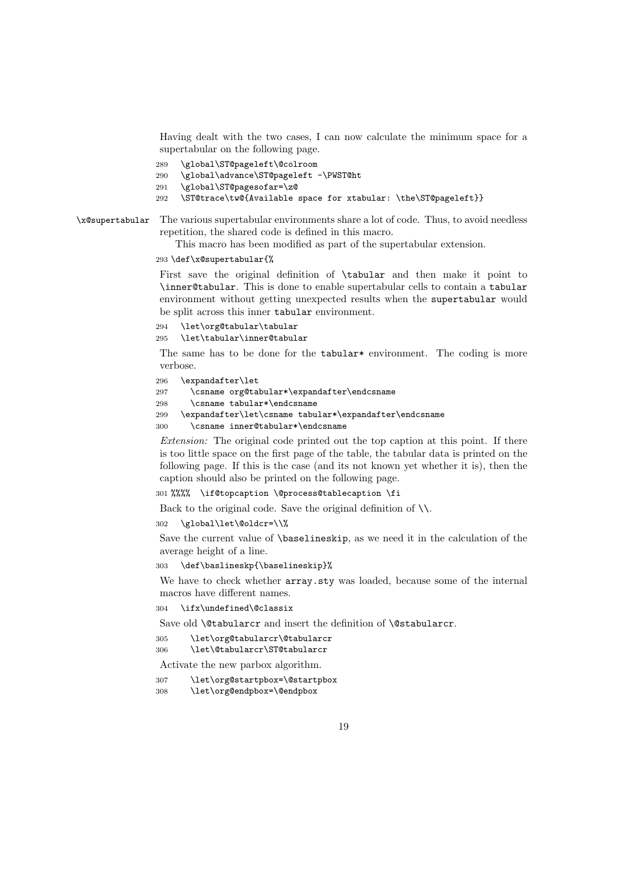Having dealt with the two cases, I can now calculate the minimum space for a supertabular on the following page.

- 289 \global\ST@pageleft\@colroom
- 290 \global\advance\ST@pageleft -\PWST@ht
- 291 \global\ST@pagesofar=\z@
- 292 \ST@trace\tw@{Available space for xtabular: \the\ST@pageleft}}

\x@supertabular The various supertabular environments share a lot of code. Thus, to avoid needless repetition, the shared code is defined in this macro.

This macro has been modified as part of the supertabular extension.

#### 293 \def\x@supertabular{%

First save the original definition of \tabular and then make it point to \inner@tabular. This is done to enable supertabular cells to contain a tabular environment without getting unexpected results when the supertabular would be split across this inner tabular environment.

```
294 \let\org@tabular\tabular
```
295 \let\tabular\inner@tabular

The same has to be done for the tabular\* environment. The coding is more verbose.

```
296 \expandafter\let
```

```
297 \csname org@tabular*\expandafter\endcsname
```
- 298 \csname tabular\*\endcsname
- 299 \expandafter\let\csname tabular\*\expandafter\endcsname
- 300 \csname inner@tabular\*\endcsname

Extension: The original code printed out the top caption at this point. If there is too little space on the first page of the table, the tabular data is printed on the following page. If this is the case (and its not known yet whether it is), then the caption should also be printed on the following page.

301 %%%% \if@topcaption \@process@tablecaption \fi

Back to the original code. Save the original definition of \\.

302 \global\let\@oldcr=\\%

Save the current value of \baselineskip, as we need it in the calculation of the average height of a line.

303 \def\baslineskp{\baselineskip}%

We have to check whether  $array$ , sty was loaded, because some of the internal macros have different names.

304 \ifx\undefined\@classix

Save old **\@tabularcr** and insert the definition of **\@stabularcr**.

305 \let\org@tabularcr\@tabularcr

306 \let\@tabularcr\ST@tabularcr

Activate the new parbox algorithm.

- 307 \let\org@startpbox=\@startpbox
- 308 \let\org@endpbox=\@endpbox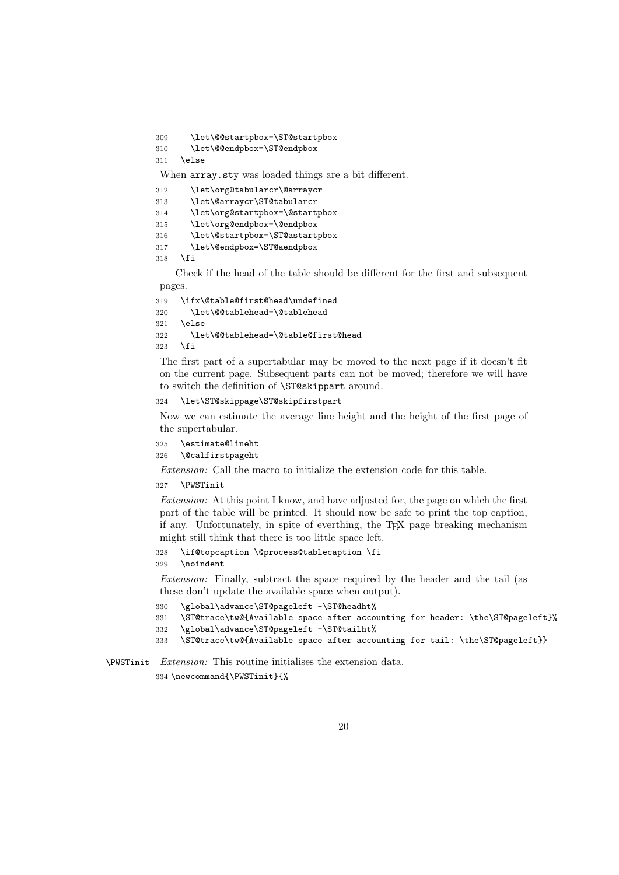\let\@@startpbox=\ST@startpbox

```
310 \let\@@endpbox=\ST@endpbox
```

```
311 \else
```
When array.sty was loaded things are a bit different.

| 312 | \let\org@tabularcr\@arraycr    |
|-----|--------------------------------|
| 313 | \let\@arraycr\ST@tabularcr     |
| 314 | \let\org@startpbox=\@startpbox |
| 315 | \let\org@endpbox=\@endpbox     |
| 316 | \let\@startpbox=\ST@astartpbox |
| 317 | \let\@endpbox=\ST@aendpbox     |
| 318 | \fi                            |

Check if the head of the table should be different for the first and subsequent pages.

```
319 \ifx\@table@first@head\undefined
320 \let\@@tablehead=\@tablehead
321 \else
322 \let\@@tablehead=\@table@first@head
323 \fi
```
The first part of a supertabular may be moved to the next page if it doesn't fit on the current page. Subsequent parts can not be moved; therefore we will have to switch the definition of \ST@skippart around.

#### \let\ST@skippage\ST@skipfirstpart

Now we can estimate the average line height and the height of the first page of the supertabular.

```
325 \estimate@lineht
```

```
326 \@calfirstpageht
```
Extension: Call the macro to initialize the extension code for this table.

#### \PWSTinit

Extension: At this point I know, and have adjusted for, the page on which the first part of the table will be printed. It should now be safe to print the top caption, if any. Unfortunately, in spite of everthing, the TEX page breaking mechanism might still think that there is too little space left.

```
328 \if@topcaption \@process@tablecaption \fi
329 \noindent
```
Extension: Finally, subtract the space required by the header and the tail (as these don't update the available space when output).

```
330 \global\advance\ST@pageleft -\ST@headht%
```

```
331 \ST@trace\tw@{Available space after accounting for header: \the\ST@pageleft}%
```

```
332 \global\advance\ST@pageleft -\ST@tailht%
```

```
333 \ST@trace\tw@{Available space after accounting for tail: \the\ST@pageleft}}
```
\PWSTinit Extension: This routine initialises the extension data.

\newcommand{\PWSTinit}{%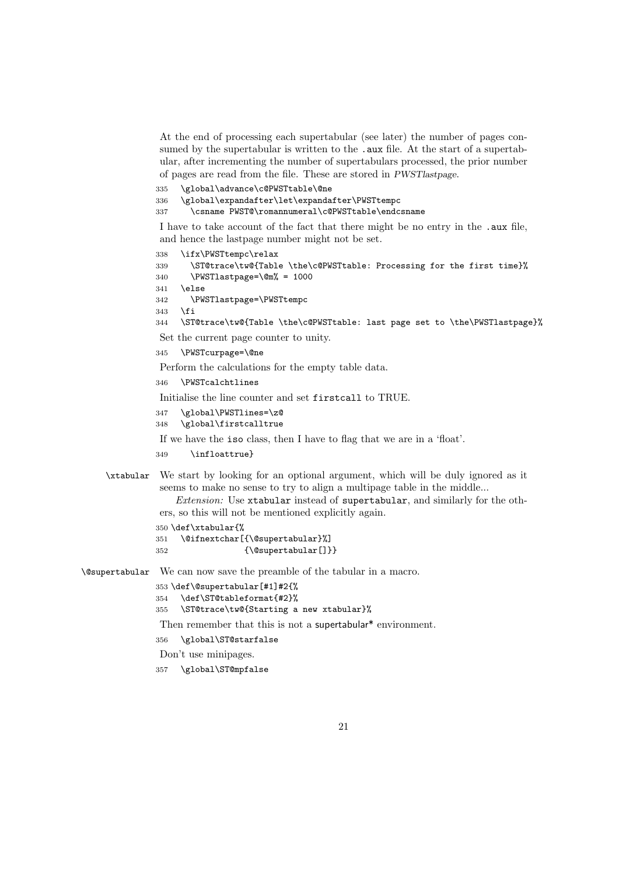At the end of processing each supertabular (see later) the number of pages consumed by the supertabular is written to the .aux file. At the start of a supertabular, after incrementing the number of supertabulars processed, the prior number of pages are read from the file. These are stored in PWSTlastpage.

335 \global\advance\c@PWSTtable\@ne 336 \global\expandafter\let\expandafter\PWSTtempc 337 \csname PWST@\romannumeral\c@PWSTtable\endcsname

I have to take account of the fact that there might be no entry in the .aux file, and hence the lastpage number might not be set.

```
338 \ifx\PWSTtempc\relax
339 \ST@trace\tw@{Table \the\c@PWSTtable: Processing for the first time}%
340 \PWSTlastpage=\@m% = 1000
341 \else
342 \PWSTlastpage=\PWSTtempc
343 \fi
344 \ST@trace\tw@{Table \the\c@PWSTtable: last page set to \the\PWSTlastpage}%
Set the current page counter to unity.
345 \PWSTcurpage=\@ne
```
Perform the calculations for the empty table data.

```
346 \PWSTcalchtlines
```
Initialise the line counter and set firstcall to TRUE.

```
347 \global\PWSTlines=\z@
```
348 \global\firstcalltrue

If we have the iso class, then I have to flag that we are in a 'float'.

```
349 \infloattrue}
```

```
\xtabular We start by looking for an optional argument, which will be duly ignored as it
           seems to make no sense to try to align a multipage table in the middle...
```
Extension: Use xtabular instead of supertabular, and similarly for the others, so this will not be mentioned explicitly again.

```
350 \def\xtabular{%
```

```
351 \@ifnextchar[{\@supertabular}%]
352 {\@supertabular[]}}
```
\@supertabular We can now save the preamble of the tabular in a macro.

```
353 \def\@supertabular[#1]#2{%
```

```
354 \def\ST@tableformat{#2}%
```
355 \ST@trace\tw@{Starting a new xtabular}%

Then remember that this is not a supertabular<sup>\*</sup> environment.

```
356 \global\ST@starfalse
```
Don't use minipages.

```
357 \global\ST@mpfalse
```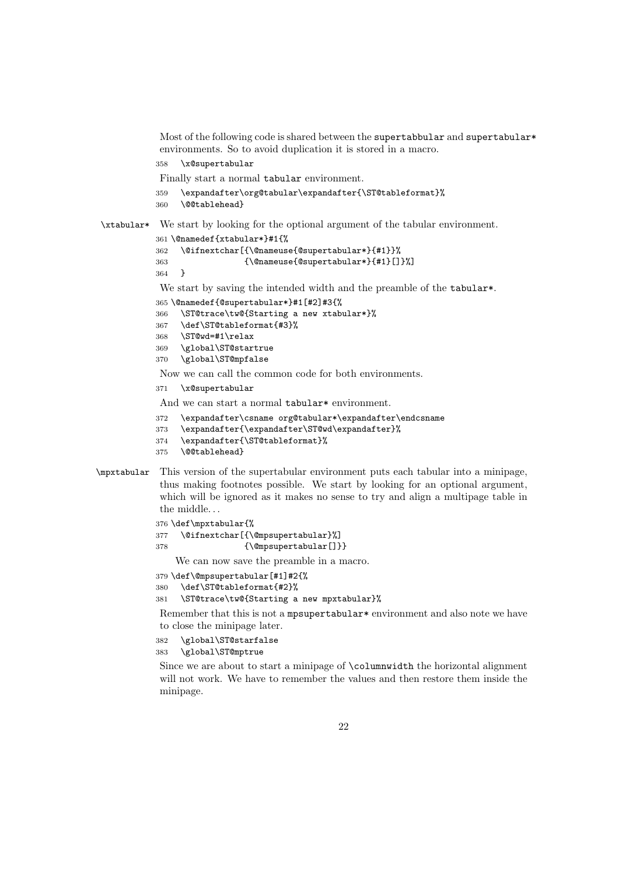Most of the following code is shared between the supertabbular and supertabular\* environments. So to avoid duplication it is stored in a macro.

```
358 \x@supertabular
```
Finally start a normal tabular environment.

```
359 \expandafter\org@tabular\expandafter{\ST@tableformat}%
```

```
360 \@@tablehead}
```
\xtabular\* We start by looking for the optional argument of the tabular environment.

```
361 \@namedef{xtabular*}#1{%
362 \@ifnextchar[{\@nameuse{@supertabular*}{#1}}%
363 {\@nameuse{@supertabular*}{#1}[]}%]
```

```
364 }
```
We start by saving the intended width and the preamble of the tabular\*.

```
365 \@namedef{@supertabular*}#1[#2]#3{%
```

```
366 \ST@trace\tw@{Starting a new xtabular*}%
367 \def\ST@tableformat{#3}%
368 \ST@wd=#1\relax
369 \global\ST@startrue
370 \global\ST@mpfalse
```
Now we can call the common code for both environments.

371 \x@supertabular

And we can start a normal tabular\* environment.

```
372 \expandafter\csname org@tabular*\expandafter\endcsname
```
- 373 \expandafter{\expandafter\ST@wd\expandafter}%
- 374 \expandafter{\ST@tableformat}%
- 375 \@@tablehead}

#### \mpxtabular This version of the supertabular environment puts each tabular into a minipage, thus making footnotes possible. We start by looking for an optional argument, which will be ignored as it makes no sense to try and align a multipage table in the middle.

376 \def\mpxtabular{%

```
377 \@ifnextchar[{\@mpsupertabular}%]
```
378 {\@mpsupertabular[]}}

We can now save the preamble in a macro.

379 \def\@mpsupertabular[#1]#2{%

```
380 \def\ST@tableformat{#2}%
```

```
381 \ST@trace\tw@{Starting a new mpxtabular}%
```
Remember that this is not a mpsupertabular\* environment and also note we have to close the minipage later.

382 \global\ST@starfalse

383 \global\ST@mptrue

Since we are about to start a minipage of \columnwidth the horizontal alignment will not work. We have to remember the values and then restore them inside the minipage.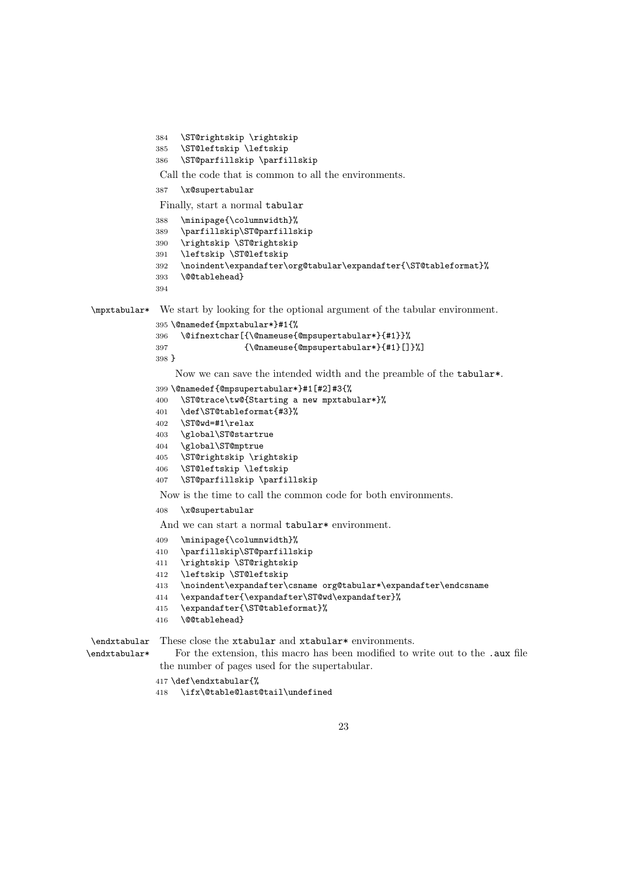```
384 \ST@rightskip \rightskip
             385 \ST@leftskip \leftskip
             386 \ST@parfillskip \parfillskip
             Call the code that is common to all the environments.
            387 \x@supertabular
             Finally, start a normal tabular
             388 \minipage{\columnwidth}%
            389 \parfillskip\ST@parfillskip
            390 \rightskip \ST@rightskip
             391 \leftskip \ST@leftskip
             392 \noindent\expandafter\org@tabular\expandafter{\ST@tableformat}%
             393 \@@tablehead}
            394
\mpxtabular* We start by looking for the optional argument of the tabular environment.
            395 \@namedef{mpxtabular*}#1{%
            396 \@ifnextchar[{\@nameuse{@mpsupertabular*}{#1}}%
            397 {\@nameuse{@mpsupertabular*}{#1}[]}%]
            398 }
                 Now we can save the intended width and the preamble of the tabular*.
            399 \@namedef{@mpsupertabular*}#1[#2]#3{%
            400 \ST@trace\tw@{Starting a new mpxtabular*}%
             401 \def\ST@tableformat{#3}%
             402 \ST@wd=#1\relax
             403 \global\ST@startrue
             404 \global\ST@mptrue
             405 \ST@rightskip \rightskip
             406 \ST@leftskip \leftskip
             407 \ST@parfillskip \parfillskip
             Now is the time to call the common code for both environments.
             408 \x@supertabular
             And we can start a normal tabular* environment.
             409 \minipage{\columnwidth}%
             410 \parfillskip\ST@parfillskip
             411 \rightskip \ST@rightskip
             412 \leftskip \ST@leftskip
             413 \noindent\expandafter\csname org@tabular*\expandafter\endcsname
             414 \expandafter{\expandafter\ST@wd\expandafter}%
            415 \expandafter{\ST@tableformat}%
            416 \@@tablehead}
```
\endxtabular\*

\endxtabular These close the xtabular and xtabular\* environments.

For the extension, this macro has been modified to write out to the .aux file the number of pages used for the supertabular.

```
417 \def\endxtabular{%
```
\ifx\@table@last@tail\undefined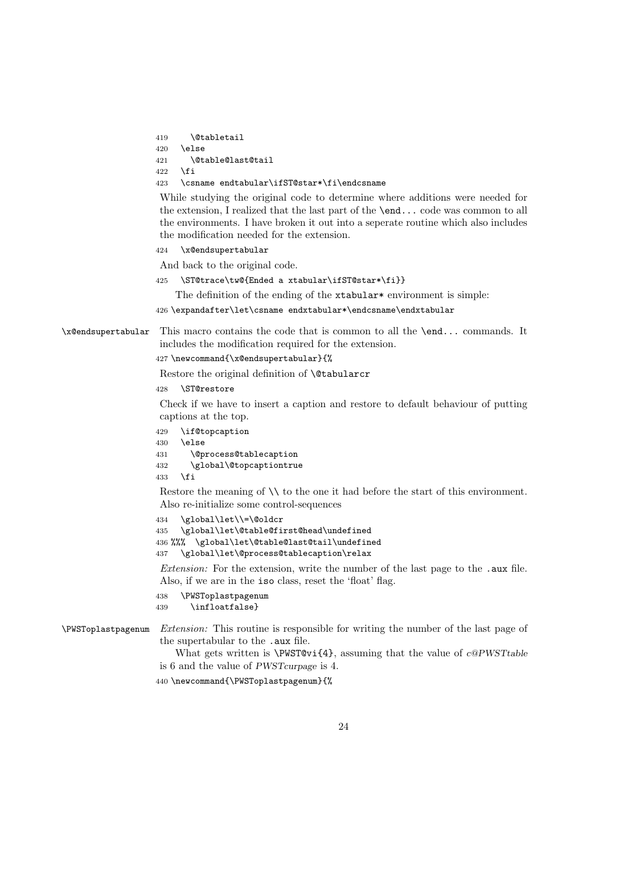```
419 \@tabletail
```

```
420 \else
```

```
421 \@table@last@tail
```
 $422$  \fi

423 \csname endtabular\ifST@star\*\fi\endcsname

While studying the original code to determine where additions were needed for the extension, I realized that the last part of the \end... code was common to all the environments. I have broken it out into a seperate routine which also includes the modification needed for the extension.

424 \x@endsupertabular

And back to the original code.

425 \ST@trace\tw@{Ended a xtabular\ifST@star\*\fi}}

The definition of the ending of the xtabular\* environment is simple:

```
426 \expandafter\let\csname endxtabular*\endcsname\endxtabular
```
\x@endsupertabular This macro contains the code that is common to all the \end... commands. It includes the modification required for the extension.

```
427 \newcommand{\x@endsupertabular}{%
```
Restore the original definition of **\@tabularcr** 

428 \ST@restore

Check if we have to insert a caption and restore to default behaviour of putting captions at the top.

- 429 \if@topcaption
- 430 \else

```
431 \@process@tablecaption
```

```
432 \global\@topcaptiontrue
```

```
433 \fi
```
Restore the meaning of  $\setminus \setminus$  to the one it had before the start of this environment. Also re-initialize some control-sequences

```
434 \global\let\\=\@oldcr
435 \global\let\@table@first@head\undefined
436 %%% \global\let\@table@last@tail\undefined
437 \global\let\@process@tablecaption\relax
```
Extension: For the extension, write the number of the last page to the .aux file. Also, if we are in the iso class, reset the 'float' flag.

```
438 \PWSToplastpagenum
```

```
439 \infloatfalse}
```

```
\PWSToplastpagenum Extension: This routine is responsible for writing the number of the last page of
                     the supertabular to the .aux file.
```
What gets written is  $\W{\text{VST}\text{Cvi}}_{4}$ , assuming that the value of c@PWSTtable is 6 and the value of PWSTcurpage is 4.

440 \newcommand{\PWSToplastpagenum}{%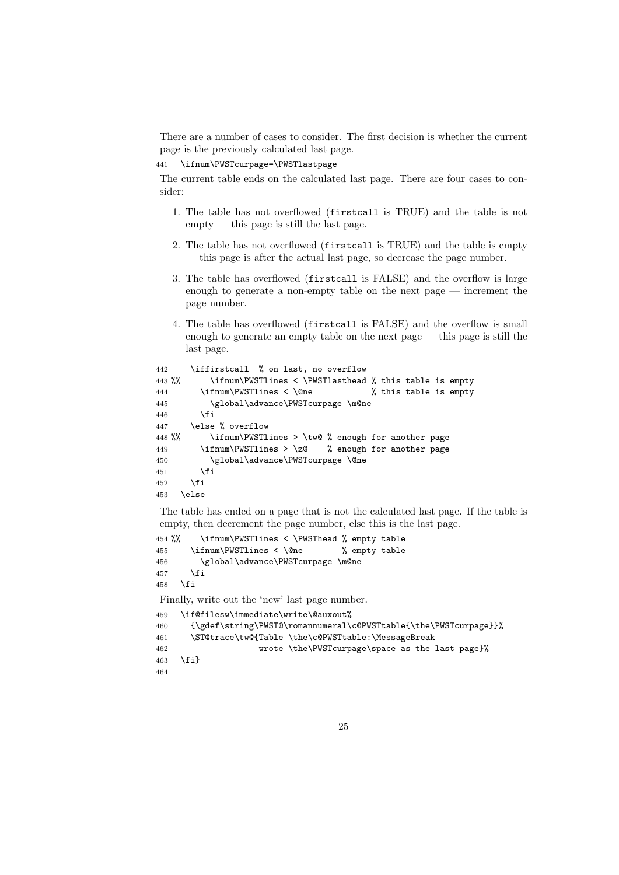There are a number of cases to consider. The first decision is whether the current page is the previously calculated last page.

441 \ifnum\PWSTcurpage=\PWSTlastpage

The current table ends on the calculated last page. There are four cases to consider:

- 1. The table has not overflowed (firstcall is TRUE) and the table is not  $empty — this page is still the last page.$
- 2. The table has not overflowed (firstcall is TRUE) and the table is empty — this page is after the actual last page, so decrease the page number.
- 3. The table has overflowed (firstcall is FALSE) and the overflow is large enough to generate a non-empty table on the next page — increment the page number.
- 4. The table has overflowed (firstcall is FALSE) and the overflow is small enough to generate an empty table on the next page — this page is still the last page.

```
442 \iffirstcall % on last, no overflow
443 %% \ifnum\PWSTlines < \PWSTlasthead % this table is empty
444 \ifnum\PWSTlines < \@ne % this table is empty
445 \global\advance\PWSTcurpage \m@ne
446 \fi
447 \else % overflow
448 %% \ifnum\PWSTlines > \tw@ % enough for another page
449 \ifnum\PWSTlines > \z@ % enough for another page
450 \global\advance\PWSTcurpage \@ne
451 \fi
452 \setminusfi
453 \else
```
The table has ended on a page that is not the calculated last page. If the table is empty, then decrement the page number, else this is the last page.

```
454 %% \ifnum\PWSTlines < \PWSThead % empty table
455 \ifnum\PWSTlines < \@ne % empty table
456 \global\advance\PWSTcurpage \m@ne
457 \fi
458 \fi
```
Finally, write out the 'new' last page number.

```
459 \if@filesw\immediate\write\@auxout%
460 {\gdef\string\PWST@\romannumeral\c@PWSTtable{\the\PWSTcurpage}}%
461 \ST@trace\tw@{Table \the\c@PWSTtable:\MessageBreak
462 wrote \the\PWSTcurpage\space as the last page}%
463 \fi}
464
```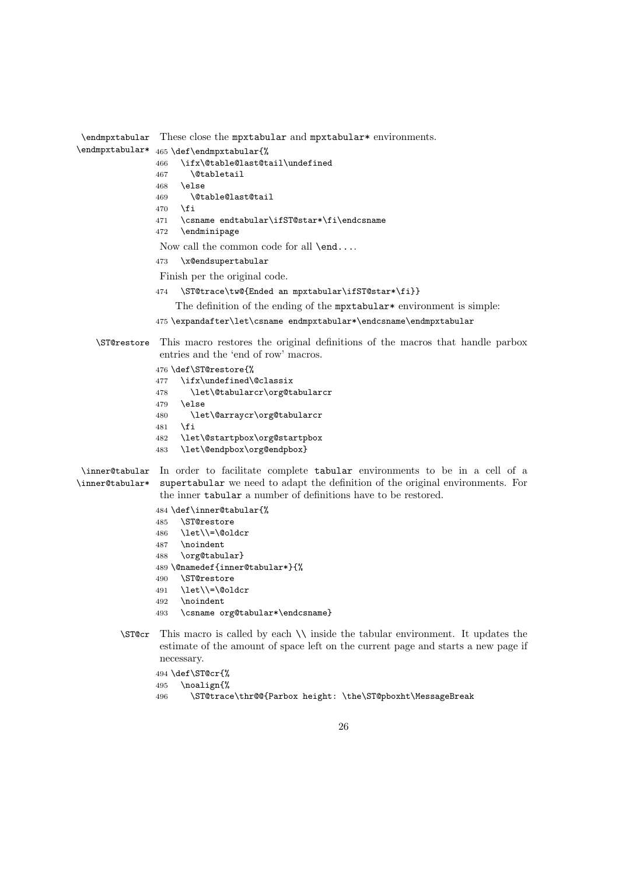```
\endmpxtabular
These close the mpxtabular and mpxtabular* environments.
\endmpxtabular* 465 \def\endmpxtabular{%
                466 \ifx\@table@last@tail\undefined
                467 \@tabletail
                468 \else
                469 \@table@last@tail
                470 \fi
                471 \csname endtabular\ifST@star*\fi\endcsname
                472 \endminipage
                 Now call the common code for all \end....
                473 \x@endsupertabular
                 Finish per the original code.
                474 \ST@trace\tw@{Ended an mpxtabular\ifST@star*\fi}}
                    The definition of the ending of the m mortabular * environment is simple:
                475 \expandafter\let\csname endmpxtabular*\endcsname\endmpxtabular
   \ST@restore This macro restores the original definitions of the macros that handle parbox
                 entries and the 'end of row' macros.
                476 \def\ST@restore{%
                477 \ifx\undefined\@classix
                478 \let\@tabularcr\org@tabularcr
                479 \else<br>480 \le
                       \let\@arraycr\org@tabularcr
                481 \fi
                482 \let\@startpbox\org@startpbox
                483 \let\@endpbox\org@endpbox}
 \inner@tabular
In order to facilitate complete tabular environments to be in a cell of a
\inner@tabular*
supertabular we need to adapt the definition of the original environments. For
                 the inner tabular a number of definitions have to be restored.
                484 \def\inner@tabular{%
                485 \ST@restore
                486 \let\\=\@oldcr
                487 \noindent
                488 \org@tabular}
                489 \@namedef{inner@tabular*}{%
                490 \ST@restore
                491 \let\\=\@oldcr
                492 \noindent
                493 \csname org@tabular*\endcsname}
        \ST@cr This macro is called by each \\ inside the tabular environment. It updates the
                 estimate of the amount of space left on the current page and starts a new page if
                 necessary.
                494 \def\ST@cr{%
```

```
495 \noalign{%
```
\ST@trace\thr@@{Parbox height: \the\ST@pboxht\MessageBreak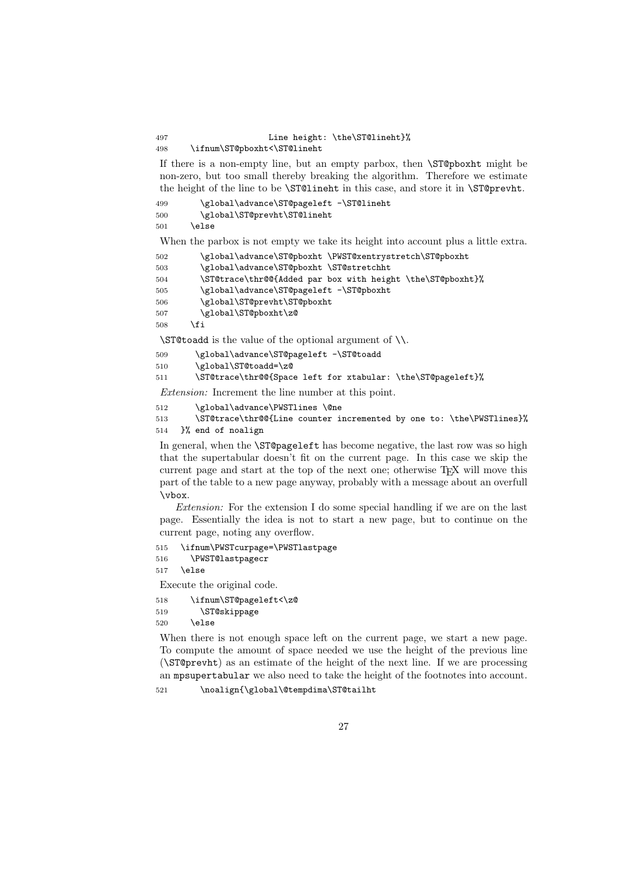## 497 Line height: \the\ST@lineht}%

498 \ifnum\ST@pboxht<\ST@lineht

If there is a non-empty line, but an empty parbox, then \ST@pboxht might be non-zero, but too small thereby breaking the algorithm. Therefore we estimate the height of the line to be \ST@lineht in this case, and store it in \ST@prevht.

```
499 \global\advance\ST@pageleft -\ST@lineht
500 \global\ST@prevht\ST@lineht
501 \else
```
When the parbox is not empty we take its height into account plus a little extra.

```
502 \global\advance\ST@pboxht \PWST@xentrystretch\ST@pboxht
503 \global\advance\ST@pboxht \ST@stretchht
504 \ST@trace\thr@@{Added par box with height \the\ST@pboxht}%
505 \global\advance\ST@pageleft -\ST@pboxht
506 \global\ST@prevht\ST@pboxht
507 \global\ST@pboxht\z@
508 \fi
```
\ST@toadd is the value of the optional argument of \\.

```
509 \global\advance\ST@pageleft -\ST@toadd
510 \global\ST@toadd=\z@
511 \ST@trace\thr@@{Space left for xtabular: \the\ST@pageleft}%
```
Extension: Increment the line number at this point.

```
512 \global\advance\PWSTlines \@ne
```
513 \ST@trace\thr@@{Line counter incremented by one to: \the\PWSTlines}% 514 }% end of noalign

In general, when the \ST@pageleft has become negative, the last row was so high that the supertabular doesn't fit on the current page. In this case we skip the current page and start at the top of the next one; otherwise TEX will move this part of the table to a new page anyway, probably with a message about an overfull \vbox.

Extension: For the extension I do some special handling if we are on the last page. Essentially the idea is not to start a new page, but to continue on the current page, noting any overflow.

```
515 \ifnum\PWSTcurpage=\PWSTlastpage
516 \PWST@lastpagecr
```
 $517$  \else

Execute the original code.

```
518 \ifnum\ST@pageleft<\z@
519 \ST@skippage
520 \qquad \text{leles}
```
When there is not enough space left on the current page, we start a new page. To compute the amount of space needed we use the height of the previous line (\ST@prevht) as an estimate of the height of the next line. If we are processing an mpsupertabular we also need to take the height of the footnotes into account.

521 \noalign{\global\@tempdima\ST@tailht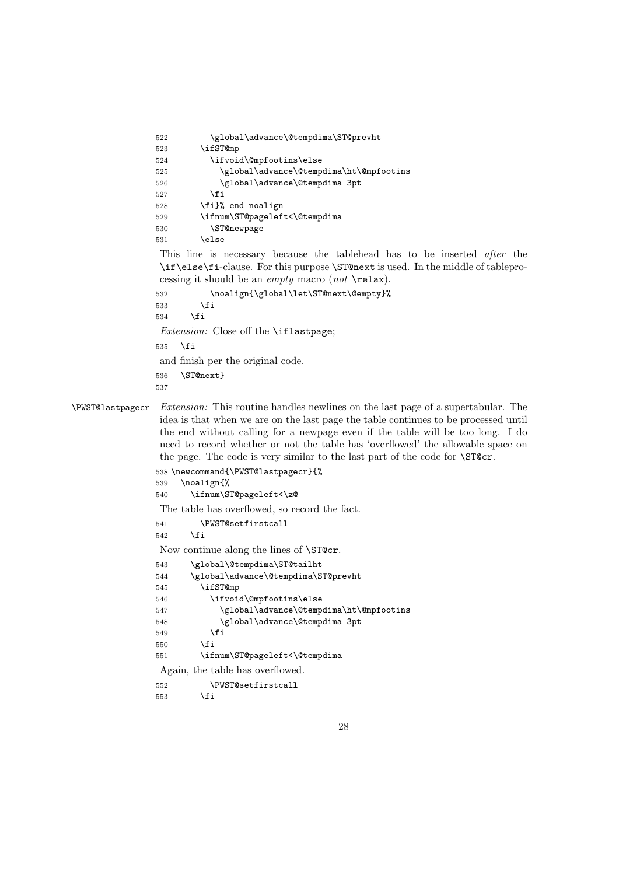| 522 | \global\advance\@tempdima\ST@prevht     |
|-----|-----------------------------------------|
| 523 | \ifST@mp                                |
| 524 | \ifvoid\@mpfootins\else                 |
| 525 | \global\advance\@tempdima\ht\@mpfootins |
| 526 | \global\advance\@tempdima 3pt           |
| 527 | \fi                                     |
| 528 | \fi}% end noalign                       |
| 529 | \ifnum\ST@pageleft<\@tempdima           |
| 530 | <b>\ST@newpage</b>                      |
| 531 | \else                                   |

This line is necessary because the tablehead has to be inserted *after* the \if\else\fi-clause. For this purpose \ST@next is used. In the middle of tableprocessing it should be an *empty* macro  $(not \ \text{relax}).$ 

```
532 \noalign{\global\let\ST@next\@empty}%
```

```
533 \fi
534 \overrightarrow{fi}
```
Extension: Close off the **\iflastpage**;

\fi

and finish per the original code.

\ST@next}

\PWST@lastpagecr Extension: This routine handles newlines on the last page of a supertabular. The idea is that when we are on the last page the table continues to be processed until the end without calling for a newpage even if the table will be too long. I do need to record whether or not the table has 'overflowed' the allowable space on the page. The code is very similar to the last part of the code for \ST@cr.

```
538 \newcommand{\PWST@lastpagecr}{%
539 \noalign{%
540 \ifnum\ST@pageleft<\z@
The table has overflowed, so record the fact.
541 \PWST@setfirstcall
542 \setminus fi
Now continue along the lines of \ST@cr.
543 \global\@tempdima\ST@tailht
544 \global\advance\@tempdima\ST@prevht
545 \ifST@mp
546 \ifvoid\@mpfootins\else
547 \global\advance\@tempdima\ht\@mpfootins
548 \global\advance\@tempdima 3pt
549 \fi
550 \fi
551 \ifnum\ST@pageleft<\@tempdima
Again, the table has overflowed.
552 \PWST@setfirstcall
553 \fi
```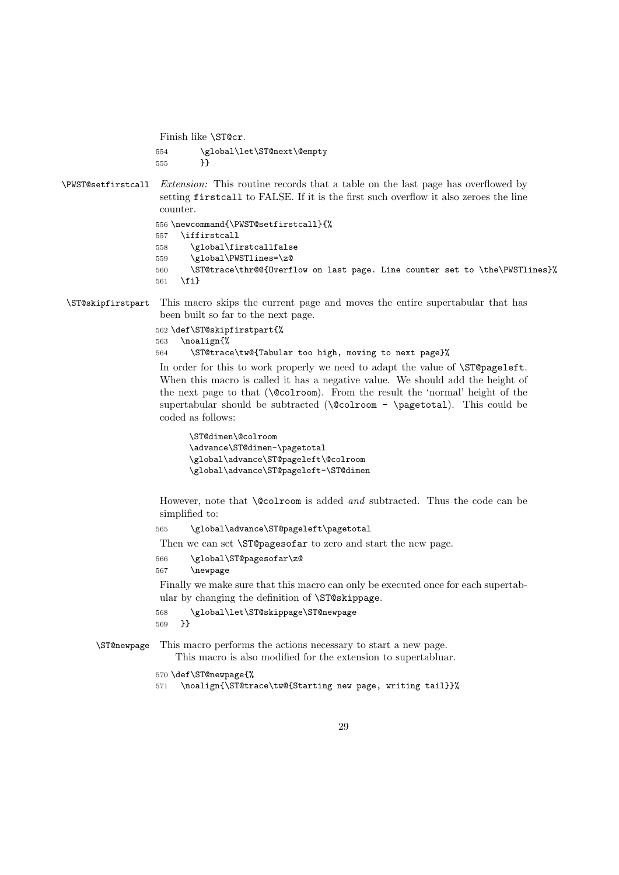Finish like \ST@cr.

554 \global\let\ST@next\@empty 555 }}

\PWST@setfirstcall Extension: This routine records that a table on the last page has overflowed by setting firstcall to FALSE. If it is the first such overflow it also zeroes the line counter.

```
556 \newcommand{\PWST@setfirstcall}{%
557 \iffirstcall
558 \global\firstcallfalse
559 \global\PWSTlines=\z@
560 \ST@trace\thr@@{Overflow on last page. Line counter set to \the\PWSTlines}%
561 \fi}
```
\ST@skipfirstpart This macro skips the current page and moves the entire supertabular that has been built so far to the next page.

```
562 \def\ST@skipfirstpart{%
563 \noalign{%
564 \ST@trace\tw@{Tabular too high, moving to next page}%
```
In order for this to work properly we need to adapt the value of \ST@pageleft. When this macro is called it has a negative value. We should add the height of the next page to that (\@colroom). From the result the 'normal' height of the supertabular should be subtracted ( $\quad \infty$  -  $\text{pagenta}$ ). This could be coded as follows:

```
\ST@dimen\@colroom
\advance\ST@dimen-\pagetotal
\global\advance\ST@pageleft\@colroom
\global\advance\ST@pageleft-\ST@dimen
```
However, note that **\@colroom** is added and subtracted. Thus the code can be simplified to:

565 \global\advance\ST@pageleft\pagetotal

Then we can set **\ST@pagesofar** to zero and start the new page.

- 566 \global\ST@pagesofar\z@
- 567 \newpage

Finally we make sure that this macro can only be executed once for each supertabular by changing the definition of \ST@skippage.

```
568 \global\let\ST@skippage\ST@newpage
569 }}
```
\ST@newpage This macro performs the actions necessary to start a new page.

This macro is also modified for the extension to supertabluar.

570 \def\ST@newpage{%

```
571 \noalign{\ST@trace\tw@{Starting new page, writing tail}}%
```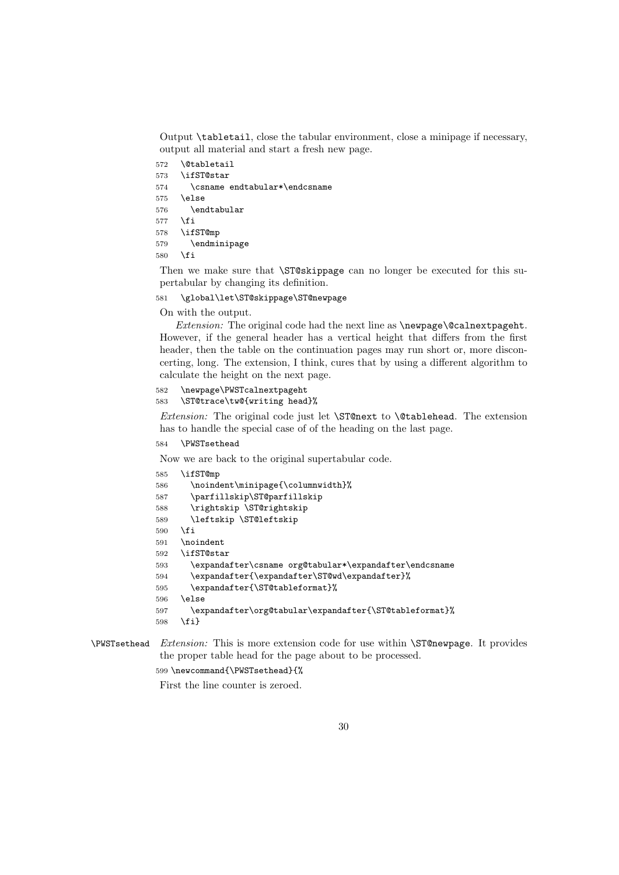Output \tabletail, close the tabular environment, close a minipage if necessary, output all material and start a fresh new page.

 \@tabletail \ifST@star \csname endtabular\*\endcsname \else \endtabular \fi \ifST@mp \endminipage  $580 \text{ } \text{ } 150$ 

Then we make sure that \ST@skippage can no longer be executed for this supertabular by changing its definition.

#### \global\let\ST@skippage\ST@newpage

On with the output.

Extension: The original code had the next line as **\newpage\@calnextpageht**. However, if the general header has a vertical height that differs from the first header, then the table on the continuation pages may run short or, more disconcerting, long. The extension, I think, cures that by using a different algorithm to calculate the height on the next page.

#### \newpage\PWSTcalnextpageht \ST@trace\tw@{writing head}%

Extension: The original code just let  $\S$ T@next to  $\C{ablehead}$ . The extension has to handle the special case of of the heading on the last page.

```
584 \PWSTsethead
```
Now we are back to the original supertabular code.

```
585 \ifST@mp
586 \noindent\minipage{\columnwidth}%
587 \parfillskip\ST@parfillskip
588 \rightskip \ST@rightskip
589 \leftskip \ST@leftskip
590 \fi
591 \noindent
592 \ifST@star
593 \expandafter\csname org@tabular*\expandafter\endcsname
594 \expandafter{\expandafter\ST@wd\expandafter}%
595 \expandafter{\ST@tableformat}%
596 \else
597 \expandafter\org@tabular\expandafter{\ST@tableformat}%
598 \fi}
```
## \PWSTsethead Extension: This is more extension code for use within \ST@newpage. It provides the proper table head for the page about to be processed.

\newcommand{\PWSTsethead}{%

First the line counter is zeroed.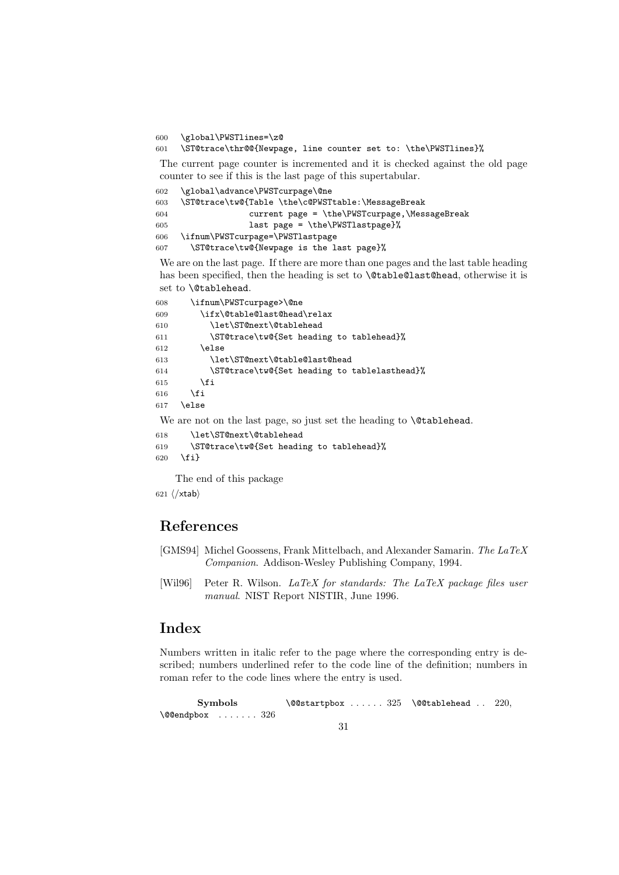600 \global\PWSTlines=\z@

601 \ST@trace\thr@@{Newpage, line counter set to: \the\PWSTlines}%

The current page counter is incremented and it is checked against the old page counter to see if this is the last page of this supertabular.

```
602 \global\advance\PWSTcurpage\@ne
603 \ST@trace\tw@{Table \the\c@PWSTtable:\MessageBreak
604 current page = \the\PWSTcurpage,\MessageBreak
605 last page = \the\PWSTlastpage}%
606 \ifnum\PWSTcurpage=\PWSTlastpage
607 \ST@trace\tw@{Newpage is the last page}%
```
We are on the last page. If there are more than one pages and the last table heading has been specified, then the heading is set to **\@table@last@head**, otherwise it is set to \@tablehead.

```
608 \ifnum\PWSTcurpage>\@ne
609 \ifx\@table@last@head\relax
610 \let\ST@next\@tablehead
611 \ST@trace\tw@{Set heading to tablehead}%
612 \else
613 \let\ST@next\@table@last@head
614 \ST@trace\tw@{Set heading to tablelasthead}%
615 \fi
616 \fi
617 \else
We are not on the last page, so just set the heading to \@tablehead.
```
618 \let\ST@next\@tablehead 619 \ST@trace\tw@{Set heading to tablehead}% 620 \fi}

The end of this package

621  $\langle xtab \rangle$ 

## References

- [GMS94] Michel Goossens, Frank Mittelbach, and Alexander Samarin. The LaTeX Companion. Addison-Wesley Publishing Company, 1994.
- [Wil96] Peter R. Wilson. LaTeX for standards: The LaTeX package files user manual. NIST Report NISTIR, June 1996.

## Index

Numbers written in italic refer to the page where the corresponding entry is described; numbers underlined refer to the code line of the definition; numbers in roman refer to the code lines where the entry is used.

```
Symbols
\@@endpbox . . . . . . . 326
                            \text{QGstart}pbox ..... 325 \@@tablehead .. 220,
```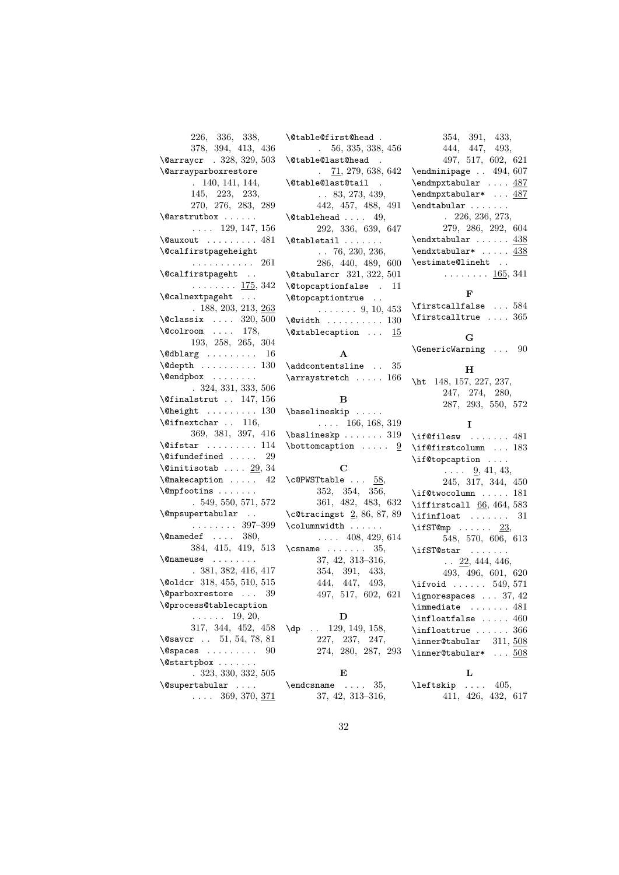| 226, 336, 338,                                                                                                                                                                                                                                                                                                                                                                                                                                          |
|---------------------------------------------------------------------------------------------------------------------------------------------------------------------------------------------------------------------------------------------------------------------------------------------------------------------------------------------------------------------------------------------------------------------------------------------------------|
| 378, 394, 413, 436                                                                                                                                                                                                                                                                                                                                                                                                                                      |
| \@arraycr . 328, 329, 503                                                                                                                                                                                                                                                                                                                                                                                                                               |
| <i><b>\@arrayparboxrestore</b></i>                                                                                                                                                                                                                                                                                                                                                                                                                      |
| . 140, 141, 144,                                                                                                                                                                                                                                                                                                                                                                                                                                        |
| 145, 223, 233,                                                                                                                                                                                                                                                                                                                                                                                                                                          |
|                                                                                                                                                                                                                                                                                                                                                                                                                                                         |
| 270, 276, 283, 289                                                                                                                                                                                                                                                                                                                                                                                                                                      |
| \@arstrutbox                                                                                                                                                                                                                                                                                                                                                                                                                                            |
| $\ldots$ 129, 147, 156                                                                                                                                                                                                                                                                                                                                                                                                                                  |
| $\sqrt{a}$ auxout  481                                                                                                                                                                                                                                                                                                                                                                                                                                  |
| \@calfirstpageheight                                                                                                                                                                                                                                                                                                                                                                                                                                    |
|                                                                                                                                                                                                                                                                                                                                                                                                                                                         |
| $\begin{minipage}{.4\linewidth} \verb&\@calfirstpage{\footnotesize\hspace{0.5mm}\raisebox{0.2mm}{$\sim$}} \hspace{-1.5cm}\raisebox{2.2mm}{$\sim$} \hspace{-1.5cm}\raisebox{2.2mm}{$\sim$} \hspace{-1.5cm}\raisebox{2.2mm}{$\sim$} \hspace{-1.5cm}\raisebox{2.2mm}{$\sim$} \hspace{-1.5cm}\raisebox{2.2mm}{$\sim$} \hspace{-1.5cm}\raisebox{2.2mm}{$\sim$} \hspace{-1.5cm}\raisebox{2.2mm}{$\sim$} \hspace{-1.5cm}\raisebox{2.2mm}{$\sim$} \hspace{-1.5$ |
|                                                                                                                                                                                                                                                                                                                                                                                                                                                         |
| . <u>175</u> , 342                                                                                                                                                                                                                                                                                                                                                                                                                                      |
| $\verb+\@calnextpage+ that $                                                                                                                                                                                                                                                                                                                                                                                                                            |
| . 188, 203, 213, 263                                                                                                                                                                                                                                                                                                                                                                                                                                    |
|                                                                                                                                                                                                                                                                                                                                                                                                                                                         |
| $\lambda$ Classix  320, 500<br>$\lambda$ Colroom  178,                                                                                                                                                                                                                                                                                                                                                                                                  |
| 193, 258, 265, 304                                                                                                                                                                                                                                                                                                                                                                                                                                      |
|                                                                                                                                                                                                                                                                                                                                                                                                                                                         |
| $\delta$ \@dblarg  16                                                                                                                                                                                                                                                                                                                                                                                                                                   |
| $\text{Qdepth}$ 130                                                                                                                                                                                                                                                                                                                                                                                                                                     |
| \@endpbox                                                                                                                                                                                                                                                                                                                                                                                                                                               |
| $. \ 324, \ 331, \ 333, \ 506$                                                                                                                                                                                                                                                                                                                                                                                                                          |
| $\sqrt{9}$ finalstrut  147, 156                                                                                                                                                                                                                                                                                                                                                                                                                         |
| $\begin{bmatrix} \text{Oneight} & \dots & \dots & 130 \end{bmatrix}$                                                                                                                                                                                                                                                                                                                                                                                    |
| $\text{Qifnextchar .} 116,$                                                                                                                                                                                                                                                                                                                                                                                                                             |
| 369, 381, 397, 416                                                                                                                                                                                                                                                                                                                                                                                                                                      |
|                                                                                                                                                                                                                                                                                                                                                                                                                                                         |
| $\sqrt{eifstar \dots \dots 114}$                                                                                                                                                                                                                                                                                                                                                                                                                        |
| $\text{^\circ}$                                                                                                                                                                                                                                                                                                                                                                                                                                         |
| $\text{Quintisotab} \ldots$ $\frac{29}{34}$                                                                                                                                                                                                                                                                                                                                                                                                             |
| \@makecaption<br>- 42                                                                                                                                                                                                                                                                                                                                                                                                                                   |
| \@mpfootins                                                                                                                                                                                                                                                                                                                                                                                                                                             |
| .549,550,571,572                                                                                                                                                                                                                                                                                                                                                                                                                                        |
| $\verb \@mpsupertabular  .$                                                                                                                                                                                                                                                                                                                                                                                                                             |
| $\cdots$ $397-399$                                                                                                                                                                                                                                                                                                                                                                                                                                      |
| $\text{Omega}$ :  380,                                                                                                                                                                                                                                                                                                                                                                                                                                  |
|                                                                                                                                                                                                                                                                                                                                                                                                                                                         |
| 384, 415, 419, 513                                                                                                                                                                                                                                                                                                                                                                                                                                      |
| \@nameuse                                                                                                                                                                                                                                                                                                                                                                                                                                               |
| .381, 382, 416, 417                                                                                                                                                                                                                                                                                                                                                                                                                                     |
| \@oldcr 318, 455, 510, 515                                                                                                                                                                                                                                                                                                                                                                                                                              |
| $\qquad$ Qparboxrestore  39                                                                                                                                                                                                                                                                                                                                                                                                                             |
| <b>\@process@tablecaption</b>                                                                                                                                                                                                                                                                                                                                                                                                                           |
|                                                                                                                                                                                                                                                                                                                                                                                                                                                         |
| $\ldots$ 19, 20,<br>317, 344, 452, 458                                                                                                                                                                                                                                                                                                                                                                                                                  |
|                                                                                                                                                                                                                                                                                                                                                                                                                                                         |
| $\sqrt{0}$ savcr 51, 54, 78, 81                                                                                                                                                                                                                                                                                                                                                                                                                         |
| $\verb \@spaces     $<br>90                                                                                                                                                                                                                                                                                                                                                                                                                             |
| $\setminus$ @startpbox                                                                                                                                                                                                                                                                                                                                                                                                                                  |
| .323,330,332,505                                                                                                                                                                                                                                                                                                                                                                                                                                        |
| \@supertabular                                                                                                                                                                                                                                                                                                                                                                                                                                          |
| $\ldots$ 369, 370, 371                                                                                                                                                                                                                                                                                                                                                                                                                                  |
|                                                                                                                                                                                                                                                                                                                                                                                                                                                         |

\@table@first@head . . 56, 335, 338, 456 \@table@last@head . . 71, 279, 638, 642 \@table@last@tail . . . 83, 273, 439, 442, 457, 488, 491  $\label{thm:q}$  \@tablehead .... 49, 292, 336, 639, 647  $\lambda$ @tabletail . . . . . . . . . 76, 230, 236, 286, 440, 489, 600 \@tabularcr 321, 322, 501 \@topcaptionfalse . 11 \@topcaptiontrue . .  $\ldots \ldots 9, 10, 453$ \@width . . . . . . . . . . 130 \@xtablecaption . . . 15 A  $\verb+\addcontentsline ... 35+$  $\label{eq:approx}$ B \baselineskip . . . . . . . . . 166, 168, 319 \baslineskp . . . . . . . 319  $\cdot$  .....  $9$ C  $\c{ePWSTtable ... 58,}$ 352, 354, 356, 361, 482, 483, 632 \c@tracingst 2, 86, 87, 89 \columnwidth . . . . . .  $\ldots$  408, 429, 614  $\ensuremath{\backslash} \texttt{csname}$  ....... 35, 37, 42, 313–316, 354, 391, 433, 444, 447, 493, 497, 517, 602, 621 D \dp . . 129, 149, 158, 227, 237, 247, 274, 280, 287, 293 E  $\end{math}$  . . . . 35, 37, 42, 313–316,

354, 391, 433, 444, 447, 493, 497, 517, 602, 621 \endminipage . . 494, 607 \endmpxtabular .... 487 \endmpxtabular\* ... 487  $\end{tabular}$  . . . . . . . . 226, 236, 273, 279, 286, 292, 604  $\end{tabular} \ldots \ldots \frac{438}{ }$ \endxtabular\* ..... 438 \estimate@lineht . .  $\ldots \ldots 165, 341$ F \firstcallfalse . . . 584 \firstcalltrue  $\dots$  365 G \GenericWarning . . . 90 H \ht 148, 157, 227, 237, 247, 274, 280, 287, 293, 550, 572 I \if@filesw ....... 481 \if@firstcolumn ... 183 \if@topcaption . . . .  $\ldots$  9, 41, 43, 245, 317, 344, 450 \if@twocolumn ..... 181  $\left\{ \right. 66, 464, 583 \right\}$  $\inf$ loat . . . . . . . 31  $\iintST@mp$  . . . . . . 23, 548, 570, 606, 613 \ifST@star . . . . . . .  $\ldots$  22, 444, 446, 493, 496, 601, 620 \ifvoid ...... 549, 571 \ignorespaces . . . 37, 42 \immediate . . . . . . . 481  $\in$ infloatfalse ..... 460 \infloattrue ...... 366  $\infty$  311, 508 \inner@tabular\*  $\dots$  508 L \leftskip . . . . 405, 411, 426, 432, 617

32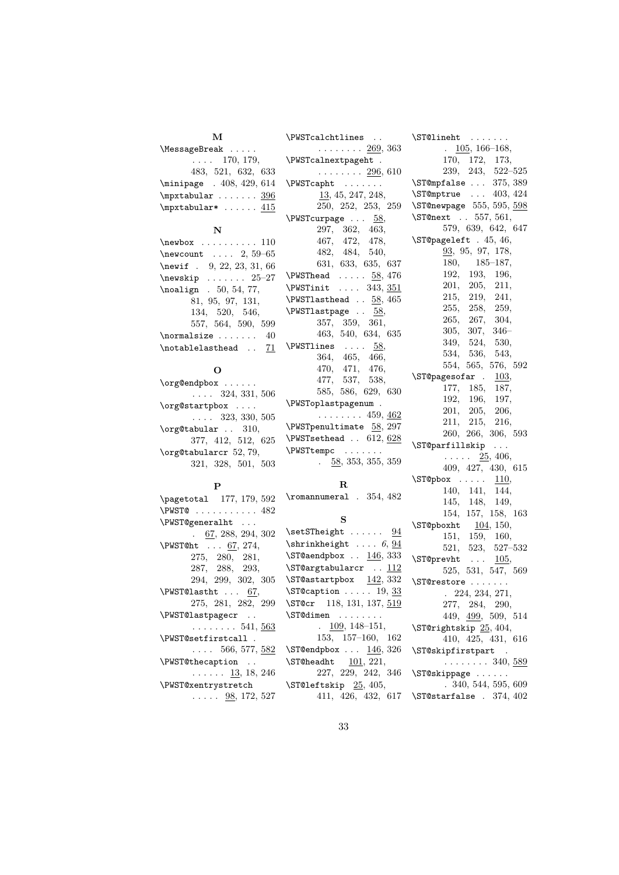| М                                              | \PWSTcalchtlines                | \ST@lineht                              |
|------------------------------------------------|---------------------------------|-----------------------------------------|
| MessageBreak                                   | $\ldots \ldots 269, 363$        | $\frac{105}{166-168}$                   |
| $\ldots$ 170, 179,                             | \PWSTcalnextpageht .            | 170, 172, 173,                          |
| 483, 521, 632, 633                             | $\ldots \ldots 296, 610$        | $239, 243, 522 - 525$                   |
| \minipage . 408, 429, 614                      | \PWSTcapht                      | \ST@mpfalse  375, 389                   |
| $\mbox{mptabular} \ldots \ldots \frac{396}{1}$ | 13, 45, 247, 248,               | $\S$ T@mptrue  403, 424                 |
| $\mbox{mptabular*} \ldots$ $415$               | 250, 252, 253, 259              | \ST@newpage 555, 595, 598               |
|                                                | $\N$ WST curpage 58,            | \ST@next . 557, 561,                    |
| $\mathbf N$                                    | 297, 362, 463,                  | 579, 639, 642, 647                      |
| $\newbox$ 110                                  | 467, 472, 478,                  | \ST@pageleft . 45, 46,                  |
| $\neq 59-65$                                   | 482, 484, 540,                  | 93, 95, 97, 178,                        |
| \newif . 9, 22, 23, 31, 66                     | 631, 633, 635, 637              | $180, 185 - 187,$                       |
| $\text{newskip} \dots \dots \ 25-27$           | $\N$ XPWSThead $\ldots$ 58, 476 | 192, 193, 196,                          |
| $\n\Delta ign$ . 50, 54, 77,                   | $\N$ STinit  343, 351           | 201, 205, 211,                          |
| 81, 95, 97, 131,                               | $\N$ STlasthead 58, 465         | 215, 219, 241,                          |
| 134, 520, 546,                                 | \PWSTlastpage  58,              | 255, 258, 259,                          |
| 557, 564, 590, 599                             | 357, 359, 361,                  | 265, 267, 304,                          |
| $\normal$ normalsize  40                       | 463, 540, 634, 635              | $305, 307, 346-$                        |
| \notablelasthead  71                           | $\N$ $58,$                      | 349, 524, 530,                          |
|                                                | 364, 465, 466,                  | 534, 536,<br>543,                       |
| О                                              | 470, 471, 476,                  | 554, 565, 576, 592                      |
| \org@endpbox                                   | 477, 537, 538,                  | \ST@pagesofar.<br>103,                  |
| $\ldots$ 324, 331, 506                         | 585, 586, 629, 630              | 177, 185,<br>187,                       |
| \org@startpbox                                 | \PWSToplastpagenum .            | 192, 196,<br>197,                       |
| $\ldots$ 323, 330, 505                         | $\ldots \ldots 459, 462$        | 201, 205,<br>206,                       |
| $\sigma$ gCtabular . 310,                      | \PWSTpenultimate 58, 297        | 211, 215, 216,                          |
| 377, 412, 512, 625                             | $\N$ STsethead . 612, 628       | 260, 266, 306, 593                      |
| $\sigma$ gCtabularcr 52, 79,                   | \PWSTtempc                      | \ST@parfillskip<br>$\sim$ $\sim$ $\sim$ |
| 321, 328, 501, 503                             | $\frac{58}{353}$ , 355, 359     | $\ldots$ $\frac{25}{25}$ , 406,         |
|                                                |                                 | 409, 427, 430, 615                      |
| P                                              | $\mathbf R$                     | $\S$ T@pbox $110,$<br>140, 141,<br>144, |
| \pagetotal 177, 179, 592                       | $\Gamma$ . 354, 482             | 145, 148,<br>149,                       |
| $\N$ WSTO 482                                  |                                 | 154, 157, 158, 163                      |
| \PWST@generalht                                | s                               | $\S$ T@pboxht 104, 150,                 |
| $\frac{67}{288}$ , 294, 302                    | $\setminus$ setSTheight $94$    | 151, 159,<br>160,                       |
| $\N$ XPWST@ht  67, 274,                        | $\shrinkheight$ 6, 94           | 521, 523, 527-532                       |
| 275, 280, 281,                                 | \ST@aendpbox $\ldots$ 146, 333  | \ST@prevht<br>105,                      |
| 287, 288, 293,                                 | \ST@argtabularcr  112           | 525, 531, 547, 569                      |
|                                                |                                 |                                         |

287, 288, 293, 294, 299, 302, 305  $\N$ WST@lastht . . . 67, 275, 281, 282, 299 \PWST@lastpagecr . .  $\ldots \ldots 541, \underline{563}$ \PWST@setfirstcall .  $\ldots$  566, 577, 582 \PWST@thecaption . .  $\ldots \ldots \frac{13}{5}$ , 18, 246 \PWST@xentrystretch

 $\ldots$  . 98, 172, 527

**N** 

227, 229, 242, 346 \ST@leftskip 25, 405,

411, 426, 432, 617 \ST@starfalse . 374, 402

\ST@restore . . . . . . . . 224, 234, 271, 277, 284, 290, 449, 499, 509, 514

\ST@rightskip 25, 404,

\ST@skipfirstpart . . . . . . . . . 340, 589 \ST@skippage . . . . . . . 340, 544, 595, 609

410, 425, 431, 616

 $\S$ T@astartpbox  $142, 332$ \ST@caption . . . . . 19, 33 \ST@cr 118, 131, 137, 519 \ST@dimen . . . . . . . . . 109, 148–151, 153, 157–160, 162 \ST@endpbox  $\dots$  146, 326  $\S$ T@headht  $\underline{101}$ , 221,